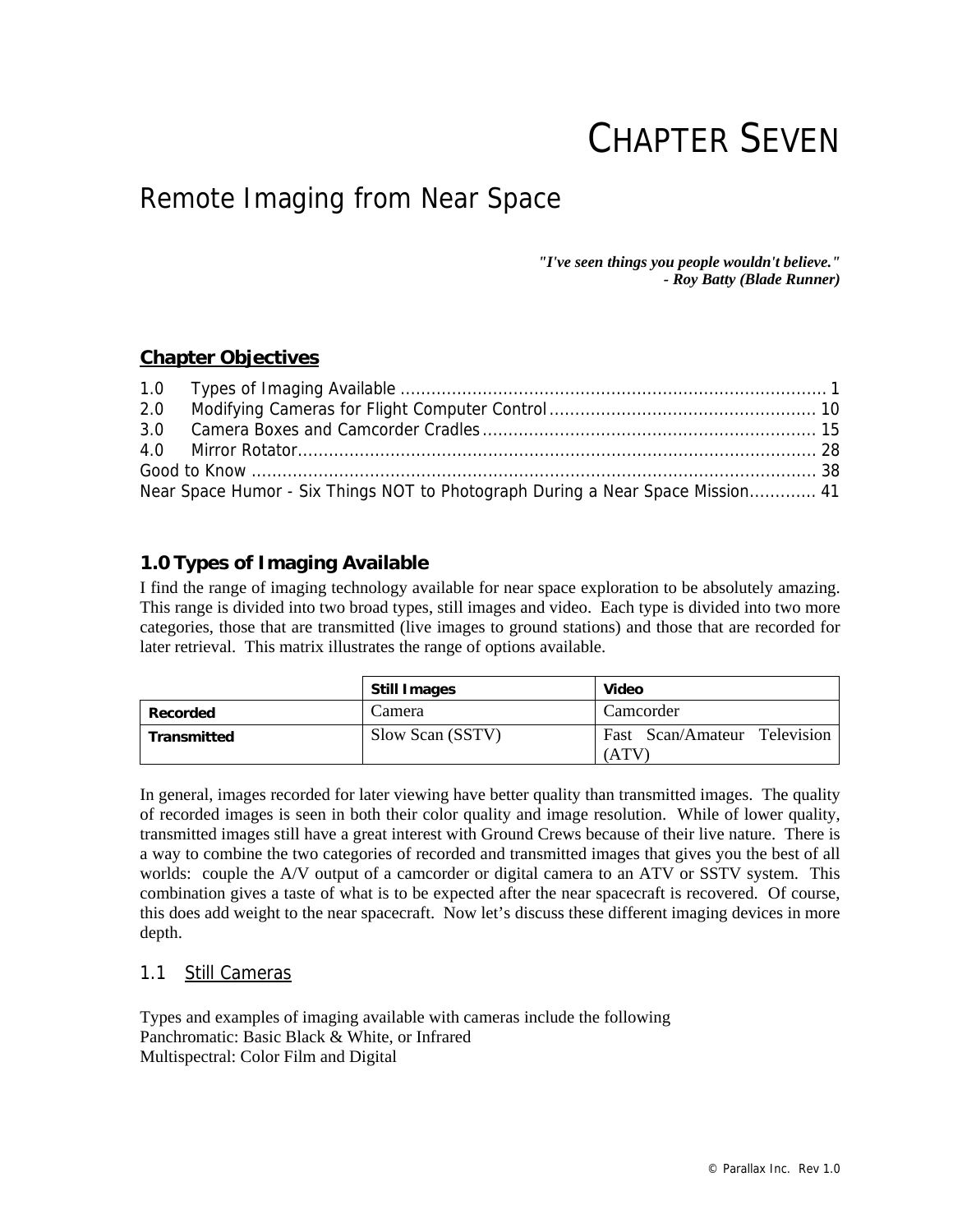# CHAPTER SEVEN

# Remote Imaging from Near Space

*"I've seen things you people wouldn't believe." - Roy Batty (Blade Runner)* 

# **Chapter Objectives**

| Near Space Humor - Six Things NOT to Photograph During a Near Space Mission 41 |  |
|--------------------------------------------------------------------------------|--|

# **1.0 Types of Imaging Available**

I find the range of imaging technology available for near space exploration to be absolutely amazing. This range is divided into two broad types, still images and video. Each type is divided into two more categories, those that are transmitted (live images to ground stations) and those that are recorded for later retrieval. This matrix illustrates the range of options available.

|                    | <b>Still Images</b> | <b>Video</b>                         |
|--------------------|---------------------|--------------------------------------|
| Recorded           | Camera              | Camcorder                            |
| <b>Transmitted</b> | Slow Scan (SSTV)    | Fast Scan/Amateur Television<br>(ATV |

In general, images recorded for later viewing have better quality than transmitted images. The quality of recorded images is seen in both their color quality and image resolution. While of lower quality, transmitted images still have a great interest with Ground Crews because of their live nature. There is a way to combine the two categories of recorded and transmitted images that gives you the best of all worlds: couple the A/V output of a camcorder or digital camera to an ATV or SSTV system. This combination gives a taste of what is to be expected after the near spacecraft is recovered. Of course, this does add weight to the near spacecraft. Now let's discuss these different imaging devices in more depth.

# 1.1 Still Cameras

Types and examples of imaging available with cameras include the following Panchromatic: Basic Black & White, or Infrared Multispectral: Color Film and Digital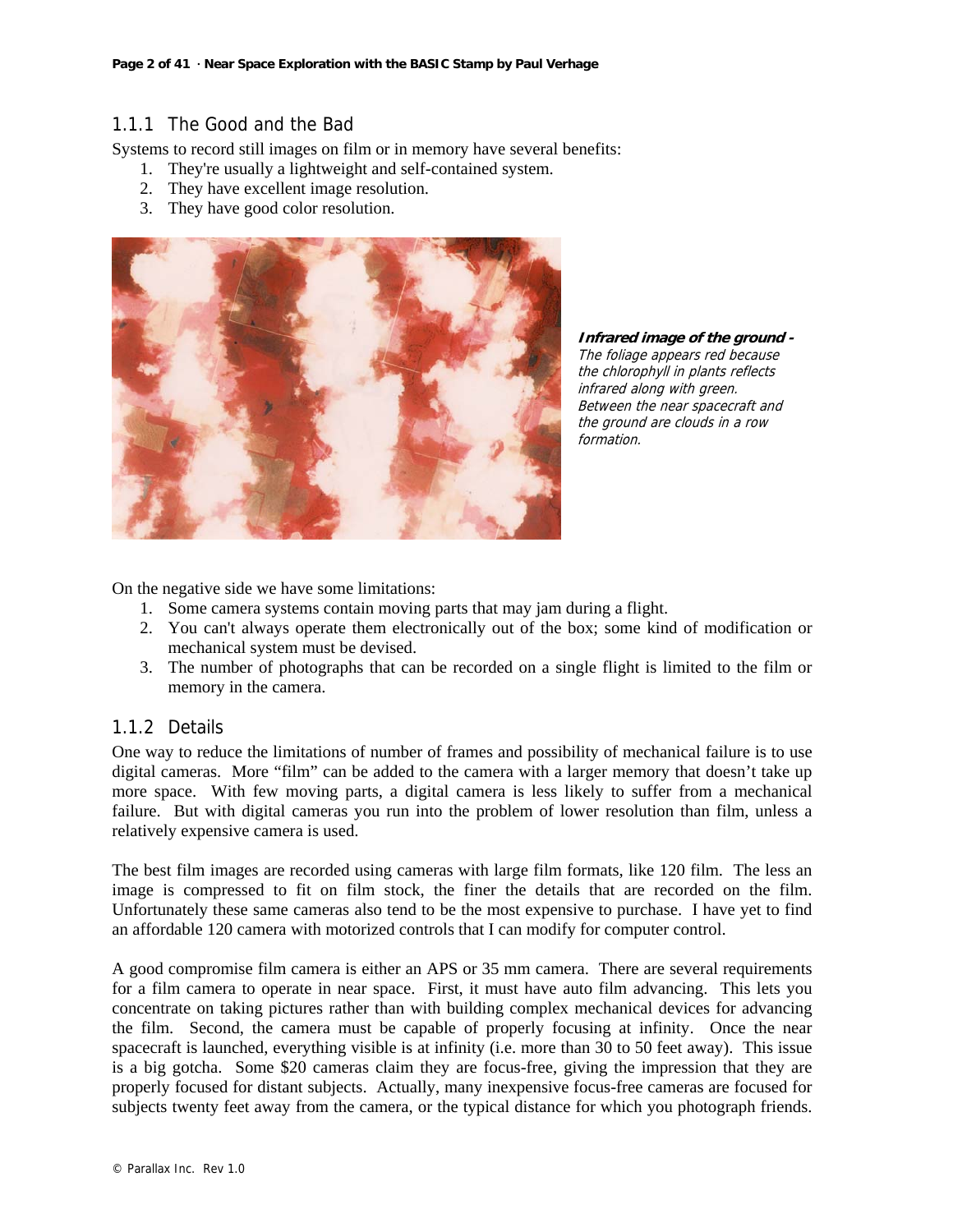# 1.1.1 The Good and the Bad

Systems to record still images on film or in memory have several benefits:

- 1. They're usually a lightweight and self-contained system.
- 2. They have excellent image resolution.
- 3. They have good color resolution.



**Infrared image of the ground -**  The foliage appears red because the chlorophyll in plants reflects infrared along with green. Between the near spacecraft and the ground are clouds in a row formation.

On the negative side we have some limitations:

- 1. Some camera systems contain moving parts that may jam during a flight.
- 2. You can't always operate them electronically out of the box; some kind of modification or mechanical system must be devised.
- 3. The number of photographs that can be recorded on a single flight is limited to the film or memory in the camera.

# 1.1.2 Details

One way to reduce the limitations of number of frames and possibility of mechanical failure is to use digital cameras. More "film" can be added to the camera with a larger memory that doesn't take up more space. With few moving parts, a digital camera is less likely to suffer from a mechanical failure. But with digital cameras you run into the problem of lower resolution than film, unless a relatively expensive camera is used.

The best film images are recorded using cameras with large film formats, like 120 film. The less an image is compressed to fit on film stock, the finer the details that are recorded on the film. Unfortunately these same cameras also tend to be the most expensive to purchase. I have yet to find an affordable 120 camera with motorized controls that I can modify for computer control.

A good compromise film camera is either an APS or 35 mm camera. There are several requirements for a film camera to operate in near space. First, it must have auto film advancing. This lets you concentrate on taking pictures rather than with building complex mechanical devices for advancing the film. Second, the camera must be capable of properly focusing at infinity. Once the near spacecraft is launched, everything visible is at infinity (i.e. more than 30 to 50 feet away). This issue is a big gotcha. Some \$20 cameras claim they are focus-free, giving the impression that they are properly focused for distant subjects. Actually, many inexpensive focus-free cameras are focused for subjects twenty feet away from the camera, or the typical distance for which you photograph friends.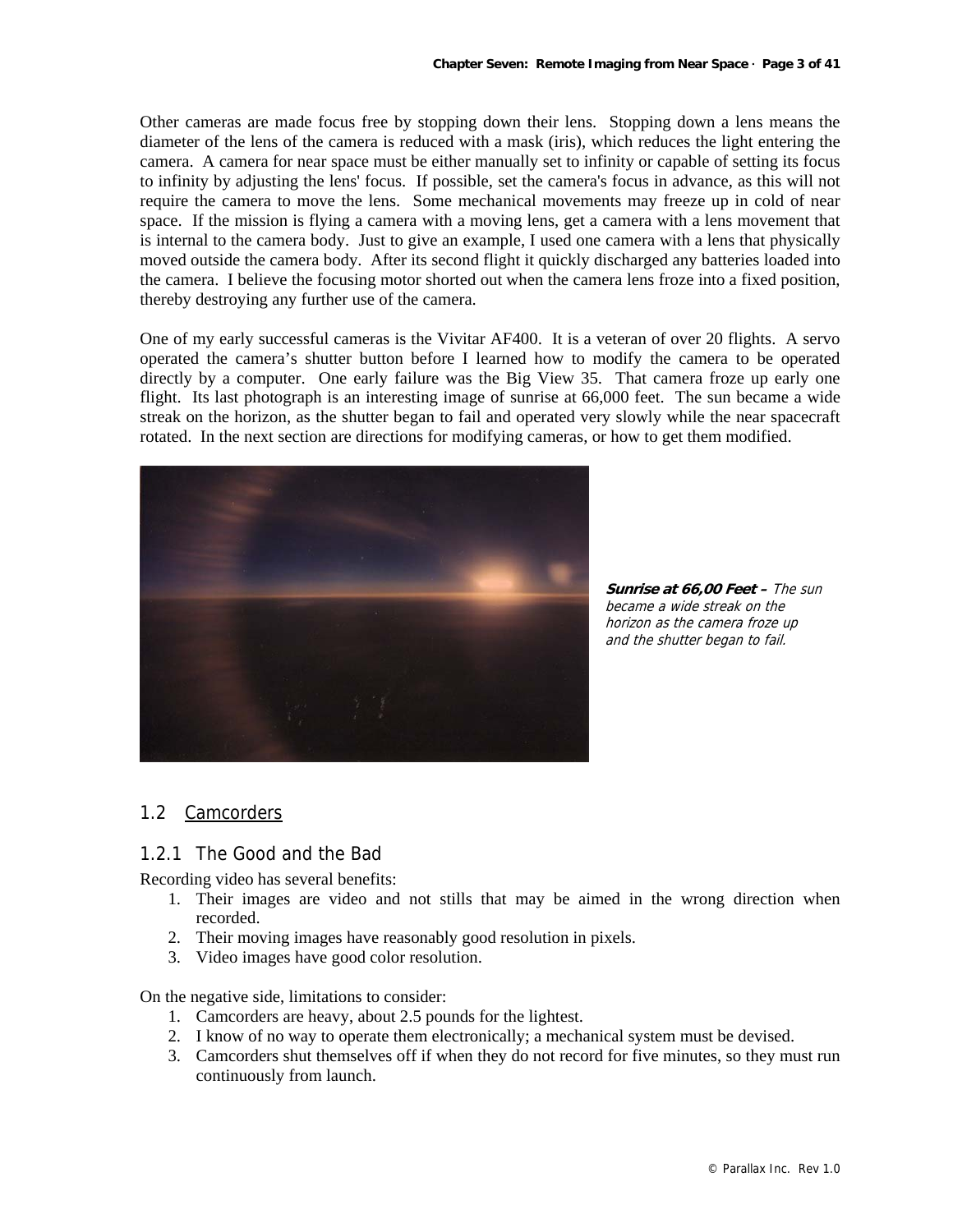Other cameras are made focus free by stopping down their lens. Stopping down a lens means the diameter of the lens of the camera is reduced with a mask (iris), which reduces the light entering the camera. A camera for near space must be either manually set to infinity or capable of setting its focus to infinity by adjusting the lens' focus. If possible, set the camera's focus in advance, as this will not require the camera to move the lens. Some mechanical movements may freeze up in cold of near space. If the mission is flying a camera with a moving lens, get a camera with a lens movement that is internal to the camera body. Just to give an example, I used one camera with a lens that physically moved outside the camera body. After its second flight it quickly discharged any batteries loaded into the camera. I believe the focusing motor shorted out when the camera lens froze into a fixed position, thereby destroying any further use of the camera.

One of my early successful cameras is the Vivitar AF400. It is a veteran of over 20 flights. A servo operated the camera's shutter button before I learned how to modify the camera to be operated directly by a computer. One early failure was the Big View 35. That camera froze up early one flight. Its last photograph is an interesting image of sunrise at 66,000 feet. The sun became a wide streak on the horizon, as the shutter began to fail and operated very slowly while the near spacecraft rotated. In the next section are directions for modifying cameras, or how to get them modified.



**Sunrise at 66,00 Feet –** The sun became a wide streak on the horizon as the camera froze up and the shutter began to fail.

# 1.2 Camcorders

#### 1.2.1 The Good and the Bad

Recording video has several benefits:

- 1. Their images are video and not stills that may be aimed in the wrong direction when recorded.
- 2. Their moving images have reasonably good resolution in pixels.
- 3. Video images have good color resolution.

On the negative side, limitations to consider:

- 1. Camcorders are heavy, about 2.5 pounds for the lightest.
- 2. I know of no way to operate them electronically; a mechanical system must be devised.
- 3. Camcorders shut themselves off if when they do not record for five minutes, so they must run continuously from launch.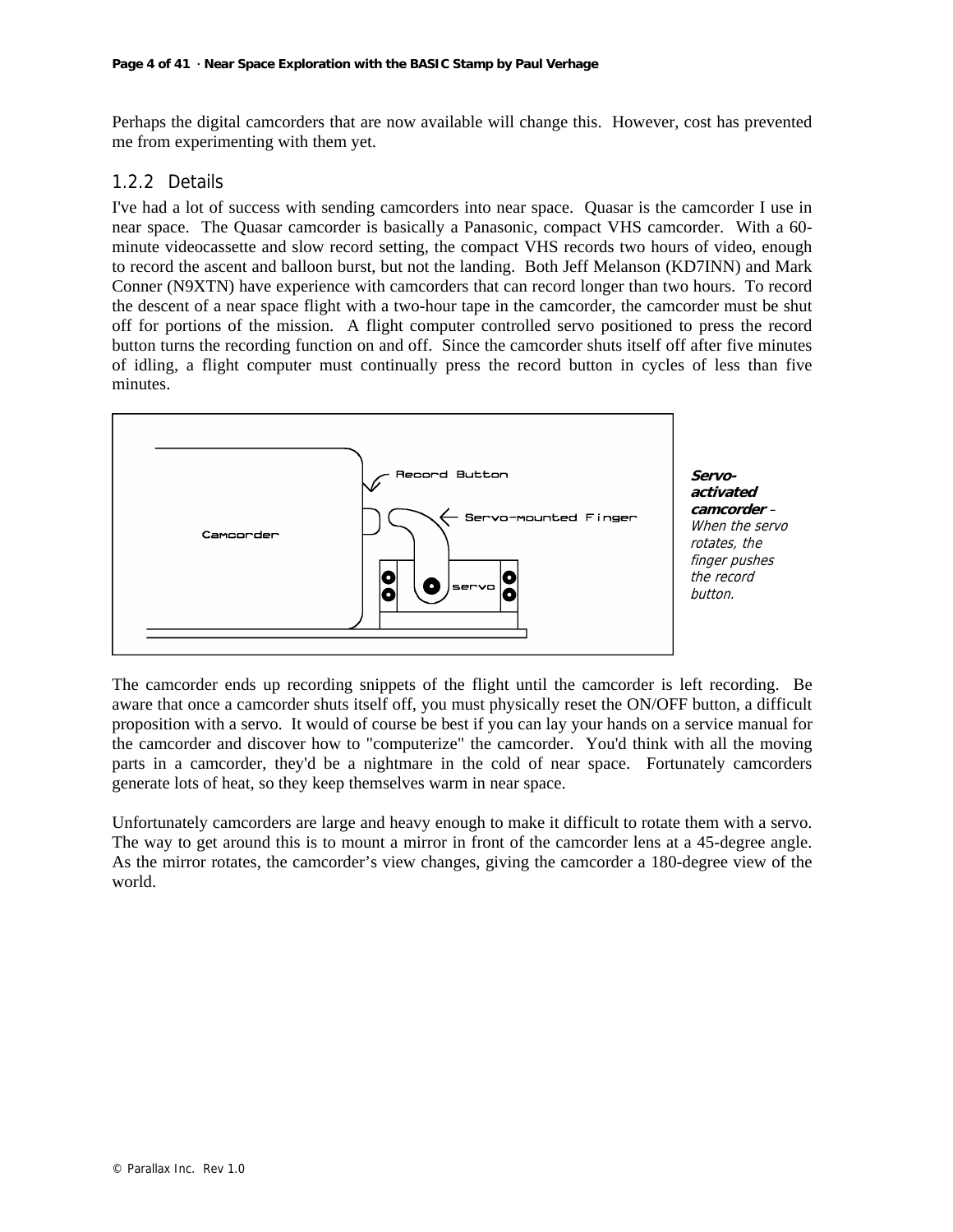Perhaps the digital camcorders that are now available will change this. However, cost has prevented me from experimenting with them yet.

# 1.2.2 Details

I've had a lot of success with sending camcorders into near space. Quasar is the camcorder I use in near space. The Quasar camcorder is basically a Panasonic, compact VHS camcorder. With a 60 minute videocassette and slow record setting, the compact VHS records two hours of video, enough to record the ascent and balloon burst, but not the landing. Both Jeff Melanson (KD7INN) and Mark Conner (N9XTN) have experience with camcorders that can record longer than two hours. To record the descent of a near space flight with a two-hour tape in the camcorder, the camcorder must be shut off for portions of the mission. A flight computer controlled servo positioned to press the record button turns the recording function on and off. Since the camcorder shuts itself off after five minutes of idling, a flight computer must continually press the record button in cycles of less than five minutes.



**Servoactivated camcorder** – When the servo rotates, the finger pushes the record button.

The camcorder ends up recording snippets of the flight until the camcorder is left recording. Be aware that once a camcorder shuts itself off, you must physically reset the ON/OFF button, a difficult proposition with a servo. It would of course be best if you can lay your hands on a service manual for the camcorder and discover how to "computerize" the camcorder. You'd think with all the moving parts in a camcorder, they'd be a nightmare in the cold of near space. Fortunately camcorders generate lots of heat, so they keep themselves warm in near space.

Unfortunately camcorders are large and heavy enough to make it difficult to rotate them with a servo. The way to get around this is to mount a mirror in front of the camcorder lens at a 45-degree angle. As the mirror rotates, the camcorder's view changes, giving the camcorder a 180-degree view of the world.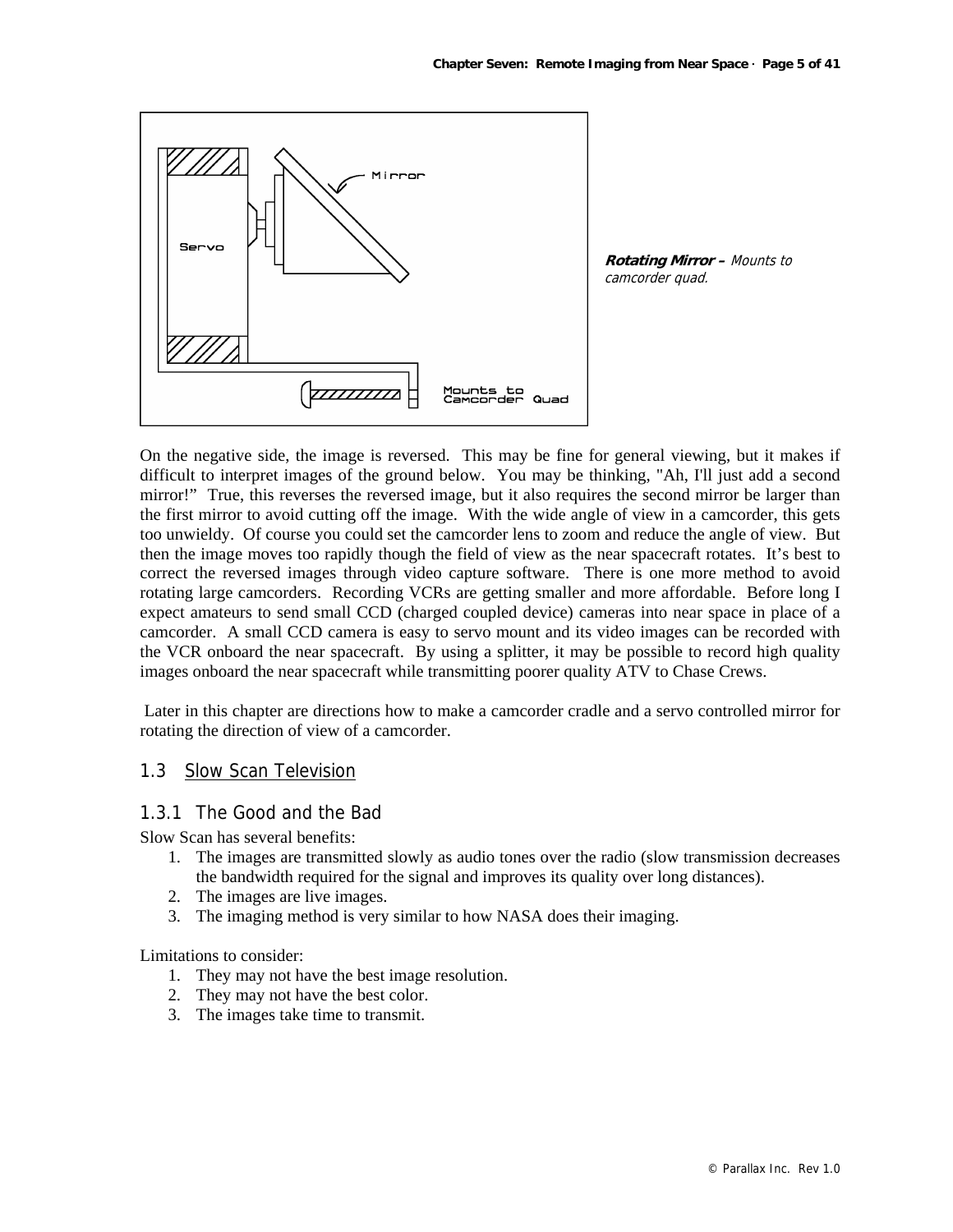

**Rotating Mirror –** Mounts to camcorder quad.

On the negative side, the image is reversed. This may be fine for general viewing, but it makes if difficult to interpret images of the ground below. You may be thinking, "Ah, I'll just add a second mirror!" True, this reverses the reversed image, but it also requires the second mirror be larger than the first mirror to avoid cutting off the image. With the wide angle of view in a camcorder, this gets too unwieldy. Of course you could set the camcorder lens to zoom and reduce the angle of view. But then the image moves too rapidly though the field of view as the near spacecraft rotates. It's best to correct the reversed images through video capture software. There is one more method to avoid rotating large camcorders. Recording VCRs are getting smaller and more affordable. Before long I expect amateurs to send small CCD (charged coupled device) cameras into near space in place of a camcorder. A small CCD camera is easy to servo mount and its video images can be recorded with the VCR onboard the near spacecraft. By using a splitter, it may be possible to record high quality images onboard the near spacecraft while transmitting poorer quality ATV to Chase Crews.

 Later in this chapter are directions how to make a camcorder cradle and a servo controlled mirror for rotating the direction of view of a camcorder.

#### 1.3 Slow Scan Television

#### 1.3.1 The Good and the Bad

Slow Scan has several benefits:

- 1. The images are transmitted slowly as audio tones over the radio (slow transmission decreases the bandwidth required for the signal and improves its quality over long distances).
- 2. The images are live images.
- 3. The imaging method is very similar to how NASA does their imaging.

Limitations to consider:

- 1. They may not have the best image resolution.
- 2. They may not have the best color.
- 3. The images take time to transmit.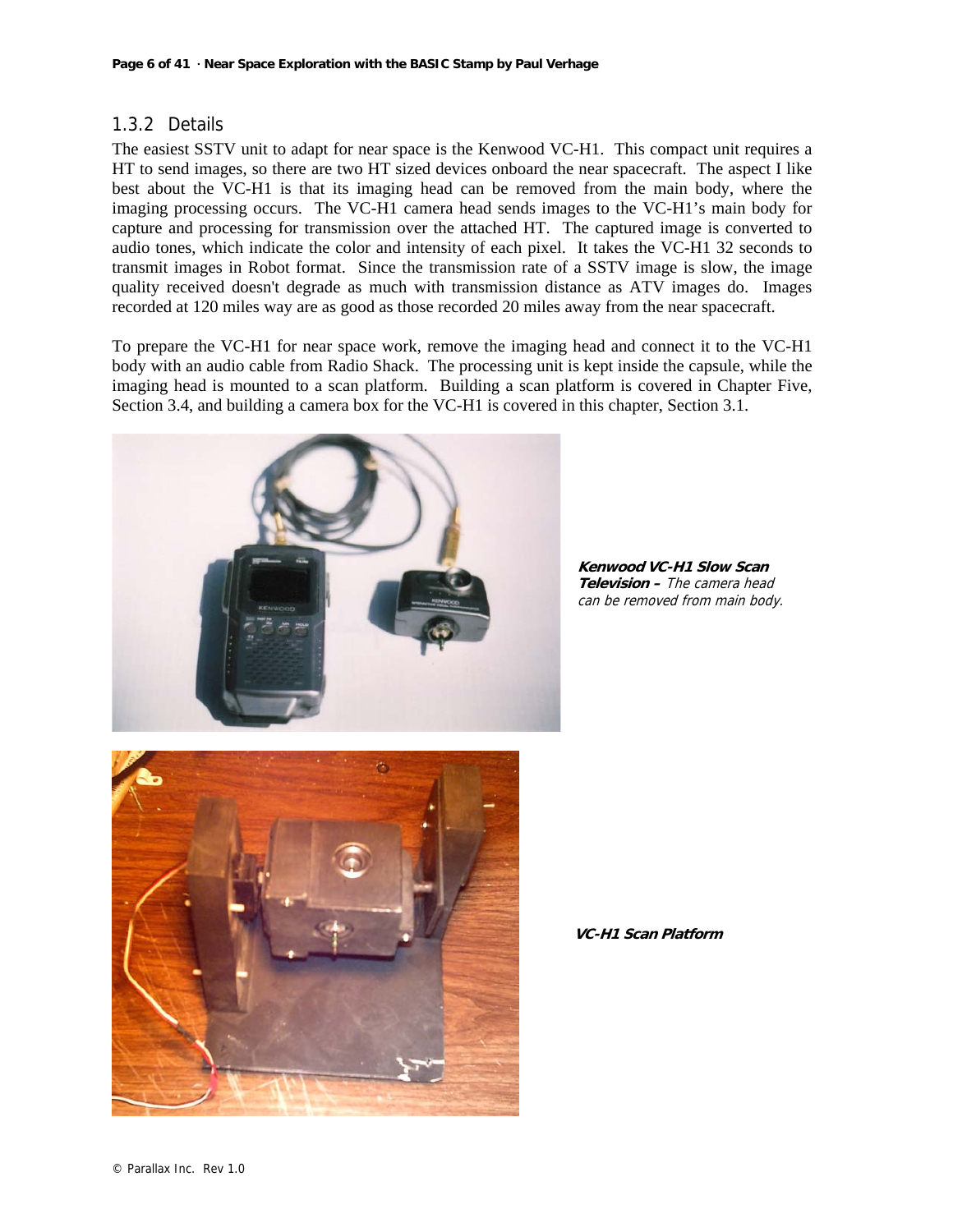# 1.3.2 Details

The easiest SSTV unit to adapt for near space is the Kenwood VC-H1. This compact unit requires a HT to send images, so there are two HT sized devices onboard the near spacecraft. The aspect I like best about the VC-H1 is that its imaging head can be removed from the main body, where the imaging processing occurs. The VC-H1 camera head sends images to the VC-H1's main body for capture and processing for transmission over the attached HT. The captured image is converted to audio tones, which indicate the color and intensity of each pixel. It takes the VC-H1 32 seconds to transmit images in Robot format. Since the transmission rate of a SSTV image is slow, the image quality received doesn't degrade as much with transmission distance as ATV images do. Images recorded at 120 miles way are as good as those recorded 20 miles away from the near spacecraft.

To prepare the VC-H1 for near space work, remove the imaging head and connect it to the VC-H1 body with an audio cable from Radio Shack. The processing unit is kept inside the capsule, while the imaging head is mounted to a scan platform. Building a scan platform is covered in Chapter Five, Section 3.4, and building a camera box for the VC-H1 is covered in this chapter, Section 3.1.



**Kenwood VC-H1 Slow Scan Television –** The camera head can be removed from main body.



**VC-H1 Scan Platform**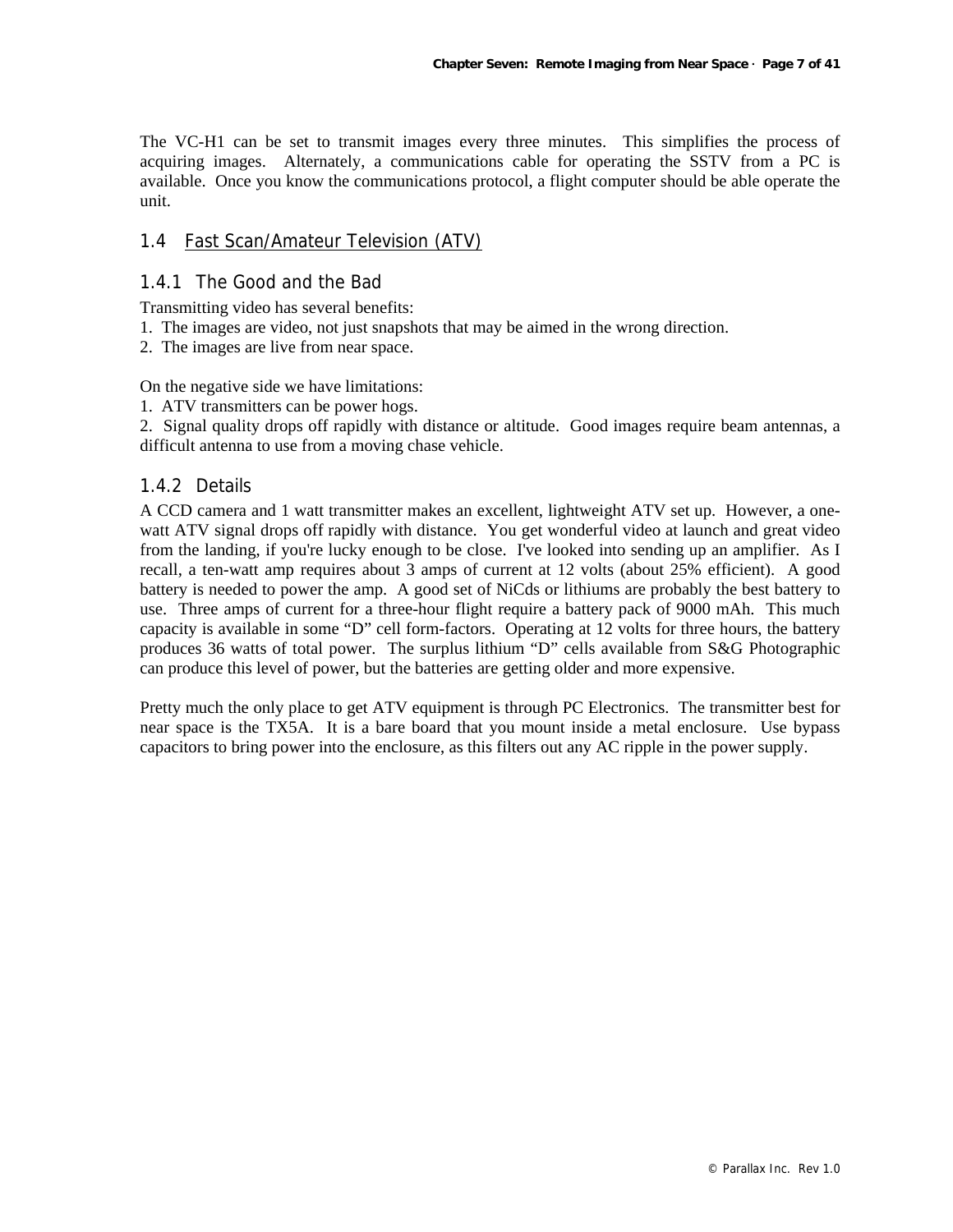The VC-H1 can be set to transmit images every three minutes. This simplifies the process of acquiring images. Alternately, a communications cable for operating the SSTV from a PC is available. Once you know the communications protocol, a flight computer should be able operate the unit.

## 1.4 Fast Scan/Amateur Television (ATV)

#### 1.4.1 The Good and the Bad

Transmitting video has several benefits:

1. The images are video, not just snapshots that may be aimed in the wrong direction.

2. The images are live from near space.

On the negative side we have limitations:

1. ATV transmitters can be power hogs.

2. Signal quality drops off rapidly with distance or altitude. Good images require beam antennas, a difficult antenna to use from a moving chase vehicle.

#### 1.4.2 Details

A CCD camera and 1 watt transmitter makes an excellent, lightweight ATV set up. However, a onewatt ATV signal drops off rapidly with distance. You get wonderful video at launch and great video from the landing, if you're lucky enough to be close. I've looked into sending up an amplifier. As I recall, a ten-watt amp requires about 3 amps of current at 12 volts (about 25% efficient). A good battery is needed to power the amp. A good set of NiCds or lithiums are probably the best battery to use. Three amps of current for a three-hour flight require a battery pack of 9000 mAh. This much capacity is available in some "D" cell form-factors. Operating at 12 volts for three hours, the battery produces 36 watts of total power. The surplus lithium "D" cells available from S&G Photographic can produce this level of power, but the batteries are getting older and more expensive.

Pretty much the only place to get ATV equipment is through PC Electronics. The transmitter best for near space is the TX5A. It is a bare board that you mount inside a metal enclosure. Use bypass capacitors to bring power into the enclosure, as this filters out any AC ripple in the power supply.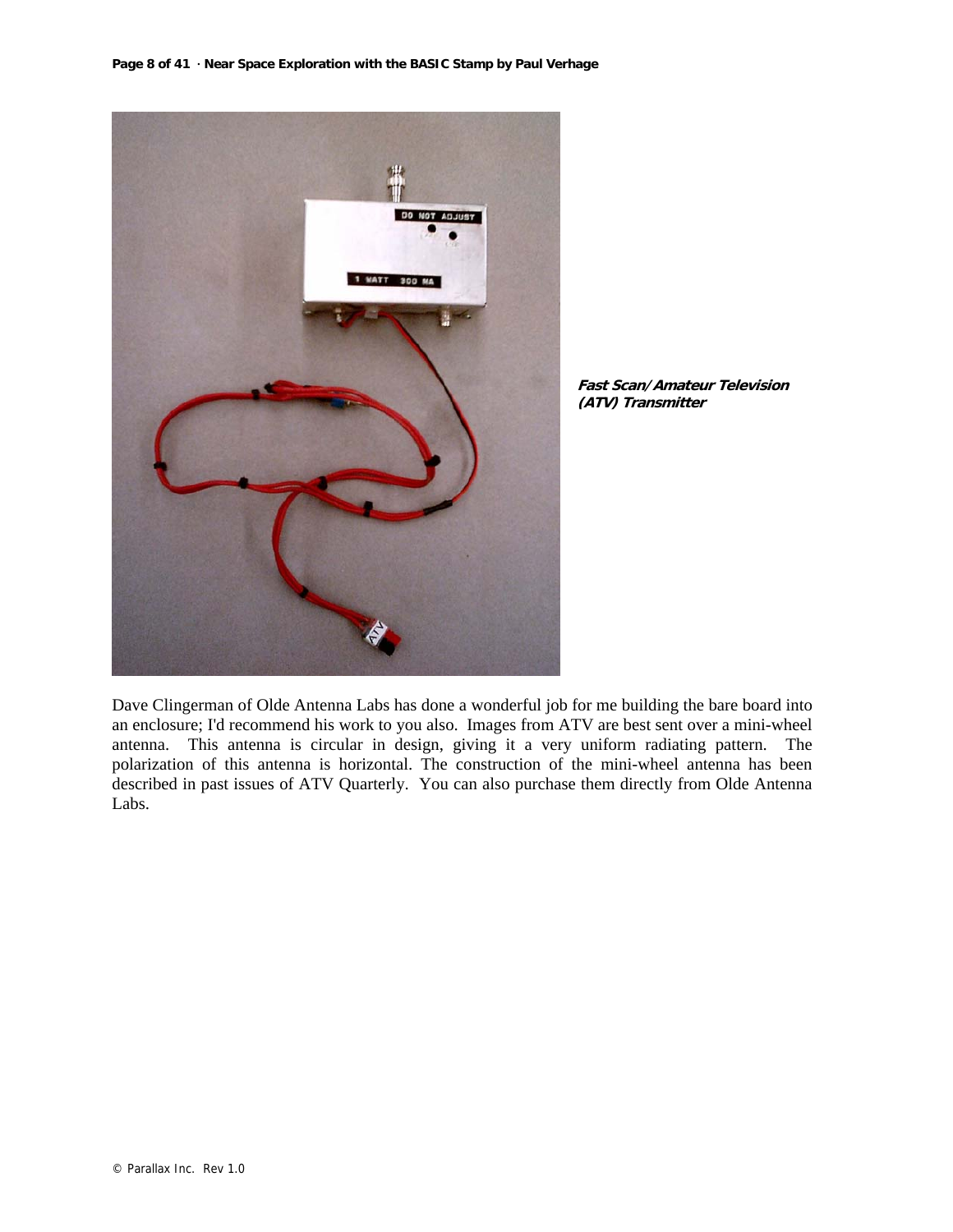

**Fast Scan/Amateur Television (ATV) Transmitter**

Dave Clingerman of Olde Antenna Labs has done a wonderful job for me building the bare board into an enclosure; I'd recommend his work to you also. Images from ATV are best sent over a mini-wheel antenna. This antenna is circular in design, giving it a very uniform radiating pattern. The polarization of this antenna is horizontal. The construction of the mini-wheel antenna has been described in past issues of ATV Quarterly. You can also purchase them directly from Olde Antenna Labs.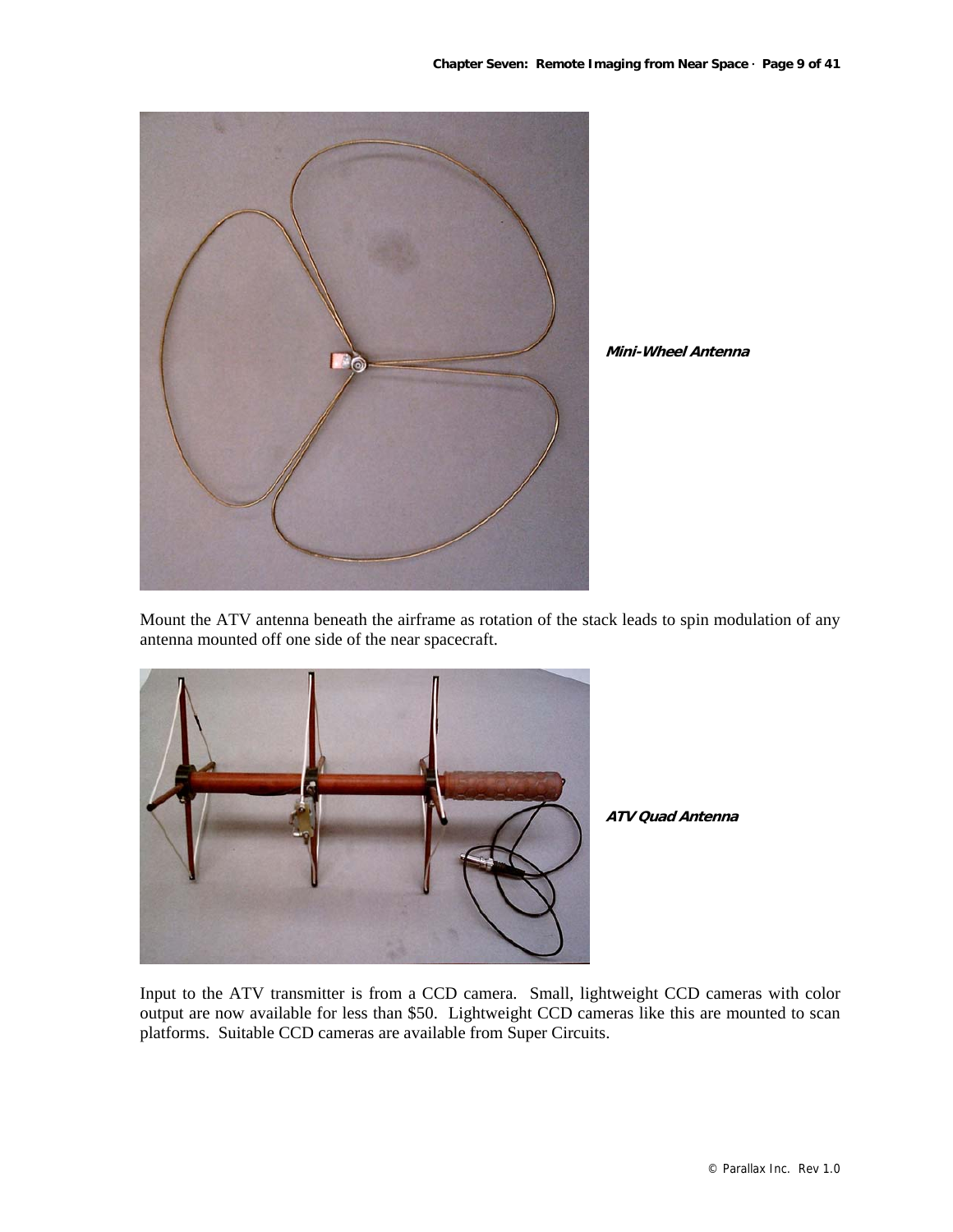

**Mini-Wheel Antenna**

Mount the ATV antenna beneath the airframe as rotation of the stack leads to spin modulation of any antenna mounted off one side of the near spacecraft.



**ATV Quad Antenna**

Input to the ATV transmitter is from a CCD camera. Small, lightweight CCD cameras with color output are now available for less than \$50. Lightweight CCD cameras like this are mounted to scan platforms. Suitable CCD cameras are available from Super Circuits.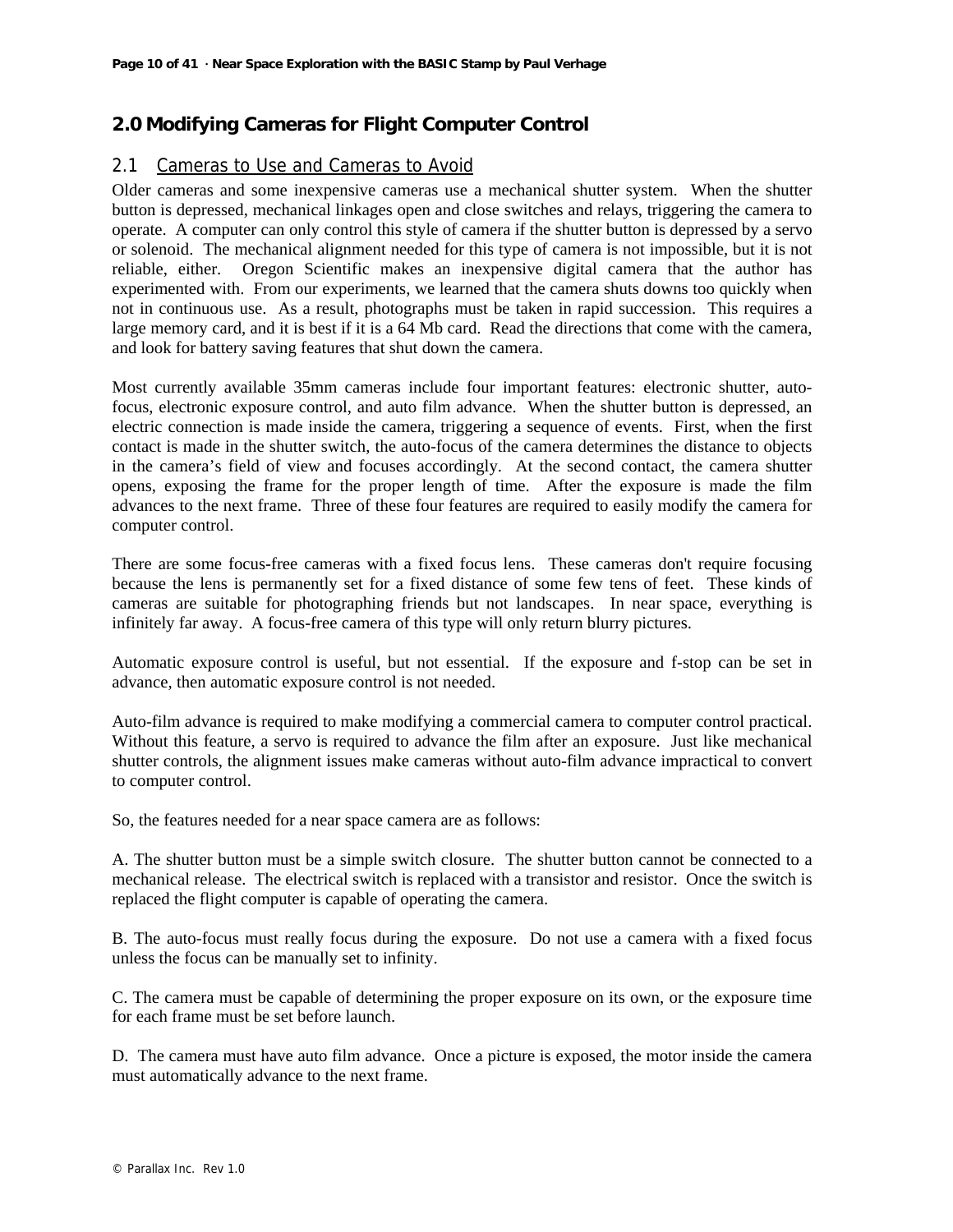# **2.0 Modifying Cameras for Flight Computer Control**

# 2.1 Cameras to Use and Cameras to Avoid

Older cameras and some inexpensive cameras use a mechanical shutter system. When the shutter button is depressed, mechanical linkages open and close switches and relays, triggering the camera to operate. A computer can only control this style of camera if the shutter button is depressed by a servo or solenoid. The mechanical alignment needed for this type of camera is not impossible, but it is not reliable, either. Oregon Scientific makes an inexpensive digital camera that the author has experimented with. From our experiments, we learned that the camera shuts downs too quickly when not in continuous use. As a result, photographs must be taken in rapid succession. This requires a large memory card, and it is best if it is a 64 Mb card. Read the directions that come with the camera, and look for battery saving features that shut down the camera.

Most currently available 35mm cameras include four important features: electronic shutter, autofocus, electronic exposure control, and auto film advance. When the shutter button is depressed, an electric connection is made inside the camera, triggering a sequence of events. First, when the first contact is made in the shutter switch, the auto-focus of the camera determines the distance to objects in the camera's field of view and focuses accordingly. At the second contact, the camera shutter opens, exposing the frame for the proper length of time. After the exposure is made the film advances to the next frame. Three of these four features are required to easily modify the camera for computer control.

There are some focus-free cameras with a fixed focus lens. These cameras don't require focusing because the lens is permanently set for a fixed distance of some few tens of feet. These kinds of cameras are suitable for photographing friends but not landscapes. In near space, everything is infinitely far away. A focus-free camera of this type will only return blurry pictures.

Automatic exposure control is useful, but not essential. If the exposure and f-stop can be set in advance, then automatic exposure control is not needed.

Auto-film advance is required to make modifying a commercial camera to computer control practical. Without this feature, a servo is required to advance the film after an exposure. Just like mechanical shutter controls, the alignment issues make cameras without auto-film advance impractical to convert to computer control.

So, the features needed for a near space camera are as follows:

A. The shutter button must be a simple switch closure. The shutter button cannot be connected to a mechanical release. The electrical switch is replaced with a transistor and resistor. Once the switch is replaced the flight computer is capable of operating the camera.

B. The auto-focus must really focus during the exposure. Do not use a camera with a fixed focus unless the focus can be manually set to infinity.

C. The camera must be capable of determining the proper exposure on its own, or the exposure time for each frame must be set before launch.

D. The camera must have auto film advance. Once a picture is exposed, the motor inside the camera must automatically advance to the next frame.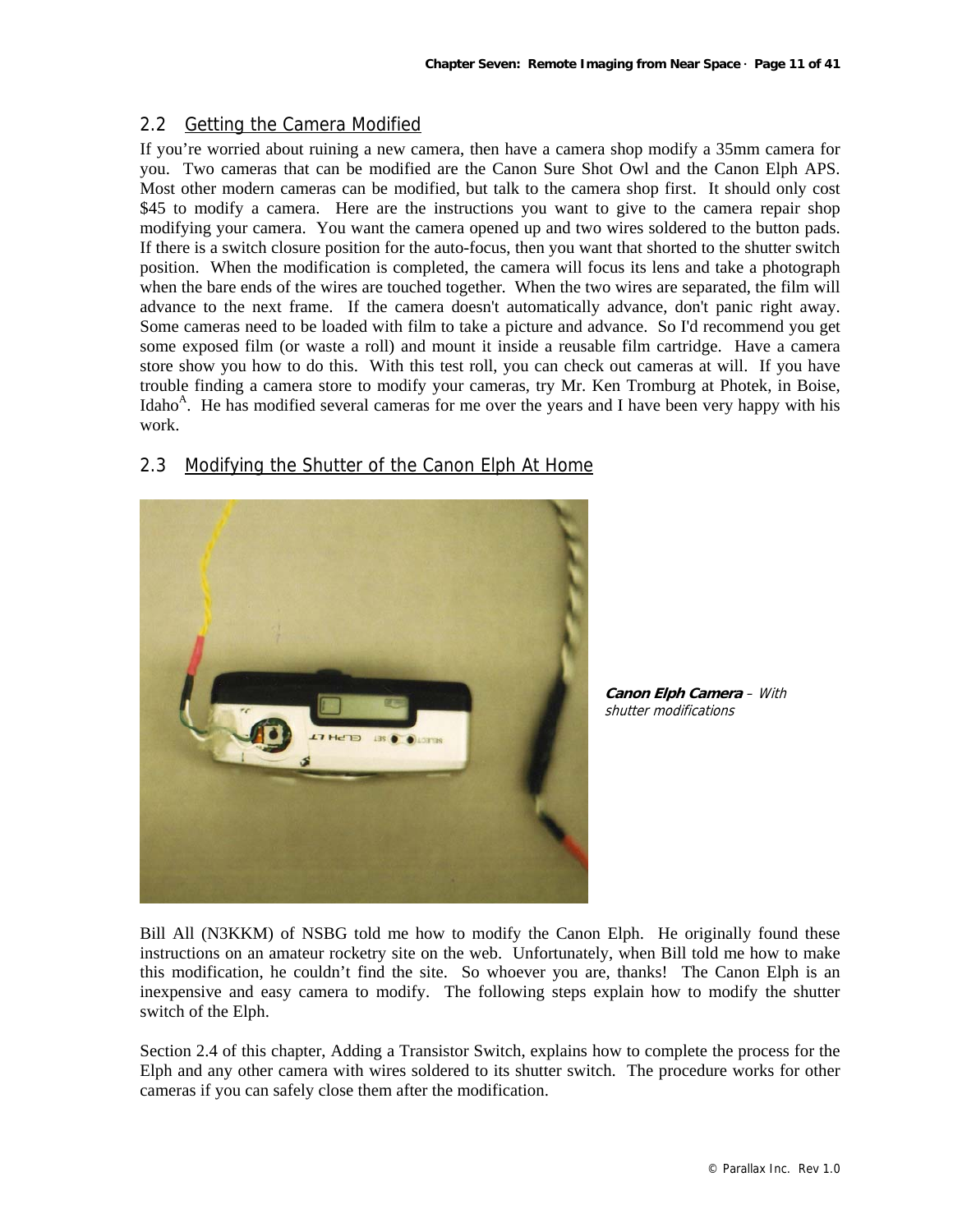# 2.2 Getting the Camera Modified

If you're worried about ruining a new camera, then have a camera shop modify a 35mm camera for you. Two cameras that can be modified are the Canon Sure Shot Owl and the Canon Elph APS. Most other modern cameras can be modified, but talk to the camera shop first. It should only cost \$45 to modify a camera. Here are the instructions you want to give to the camera repair shop modifying your camera. You want the camera opened up and two wires soldered to the button pads. If there is a switch closure position for the auto-focus, then you want that shorted to the shutter switch position. When the modification is completed, the camera will focus its lens and take a photograph when the bare ends of the wires are touched together. When the two wires are separated, the film will advance to the next frame. If the camera doesn't automatically advance, don't panic right away. Some cameras need to be loaded with film to take a picture and advance. So I'd recommend you get some exposed film (or waste a roll) and mount it inside a reusable film cartridge. Have a camera store show you how to do this. With this test roll, you can check out cameras at will. If you have trouble finding a camera store to modify your cameras, try Mr. Ken Tromburg at Photek, in Boise, Idaho<sup>A</sup>. He has modified several cameras for me over the years and I have been very happy with his work.



# 2.3 Modifying the Shutter of the Canon Elph At Home

**Canon Elph Camera** – With shutter modifications

Bill All (N3KKM) of NSBG told me how to modify the Canon Elph. He originally found these instructions on an amateur rocketry site on the web. Unfortunately, when Bill told me how to make this modification, he couldn't find the site. So whoever you are, thanks! The Canon Elph is an inexpensive and easy camera to modify. The following steps explain how to modify the shutter switch of the Elph.

Section 2.4 of this chapter, Adding a Transistor Switch, explains how to complete the process for the Elph and any other camera with wires soldered to its shutter switch. The procedure works for other cameras if you can safely close them after the modification.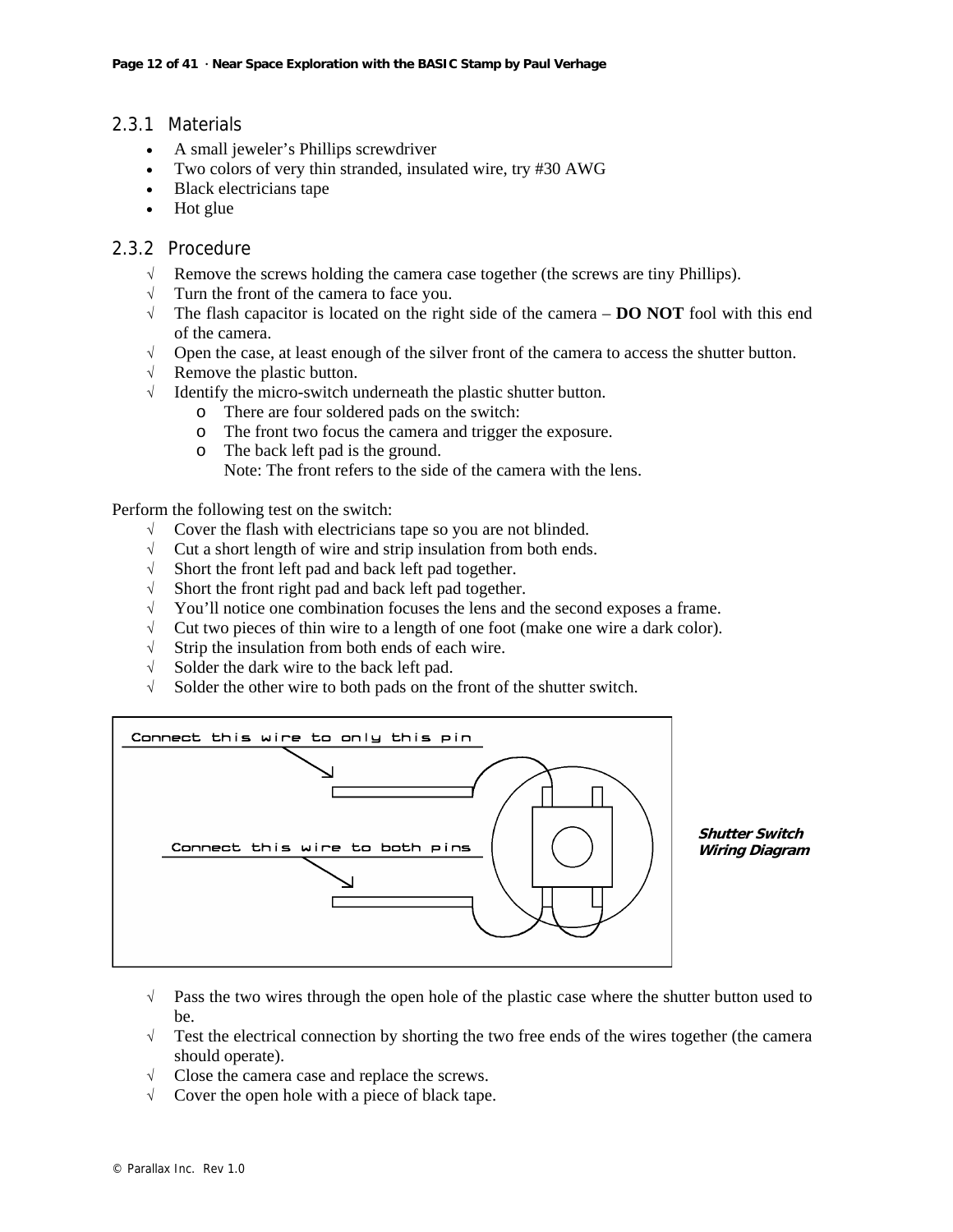# 2.3.1 Materials

- A small jeweler's Phillips screwdriver
- Two colors of very thin stranded, insulated wire, try #30 AWG
- Black electricians tape
- Hot glue

#### 2.3.2 Procedure

- √ Remove the screws holding the camera case together (the screws are tiny Phillips).
- √ Turn the front of the camera to face you.
- √ The flash capacitor is located on the right side of the camera **DO NOT** fool with this end of the camera.
- √ Open the case, at least enough of the silver front of the camera to access the shutter button.
- √ Remove the plastic button.
- $\sqrt{\phantom{a}}$  Identify the micro-switch underneath the plastic shutter button.
	- o There are four soldered pads on the switch:
	- o The front two focus the camera and trigger the exposure.
	- o The back left pad is the ground.
		- Note: The front refers to the side of the camera with the lens.

Perform the following test on the switch:

- √ Cover the flash with electricians tape so you are not blinded.
- $\sqrt{\phantom{a}}$  Cut a short length of wire and strip insulation from both ends.
- √ Short the front left pad and back left pad together.
- $\sqrt{\phantom{a}}$  Short the front right pad and back left pad together.<br> $\sqrt{\phantom{a}}$  You'll notice one combination focuses the lens and
- You'll notice one combination focuses the lens and the second exposes a frame.
- √ Cut two pieces of thin wire to a length of one foot (make one wire a dark color).
- √ Strip the insulation from both ends of each wire.
- √ Solder the dark wire to the back left pad.
- √ Solder the other wire to both pads on the front of the shutter switch.



**Shutter Switch Wiring Diagram**

- $\sqrt{\phantom{a}}$  Pass the two wires through the open hole of the plastic case where the shutter button used to be.
- √ Test the electrical connection by shorting the two free ends of the wires together (the camera should operate).
- √ Close the camera case and replace the screws.
- √ Cover the open hole with a piece of black tape.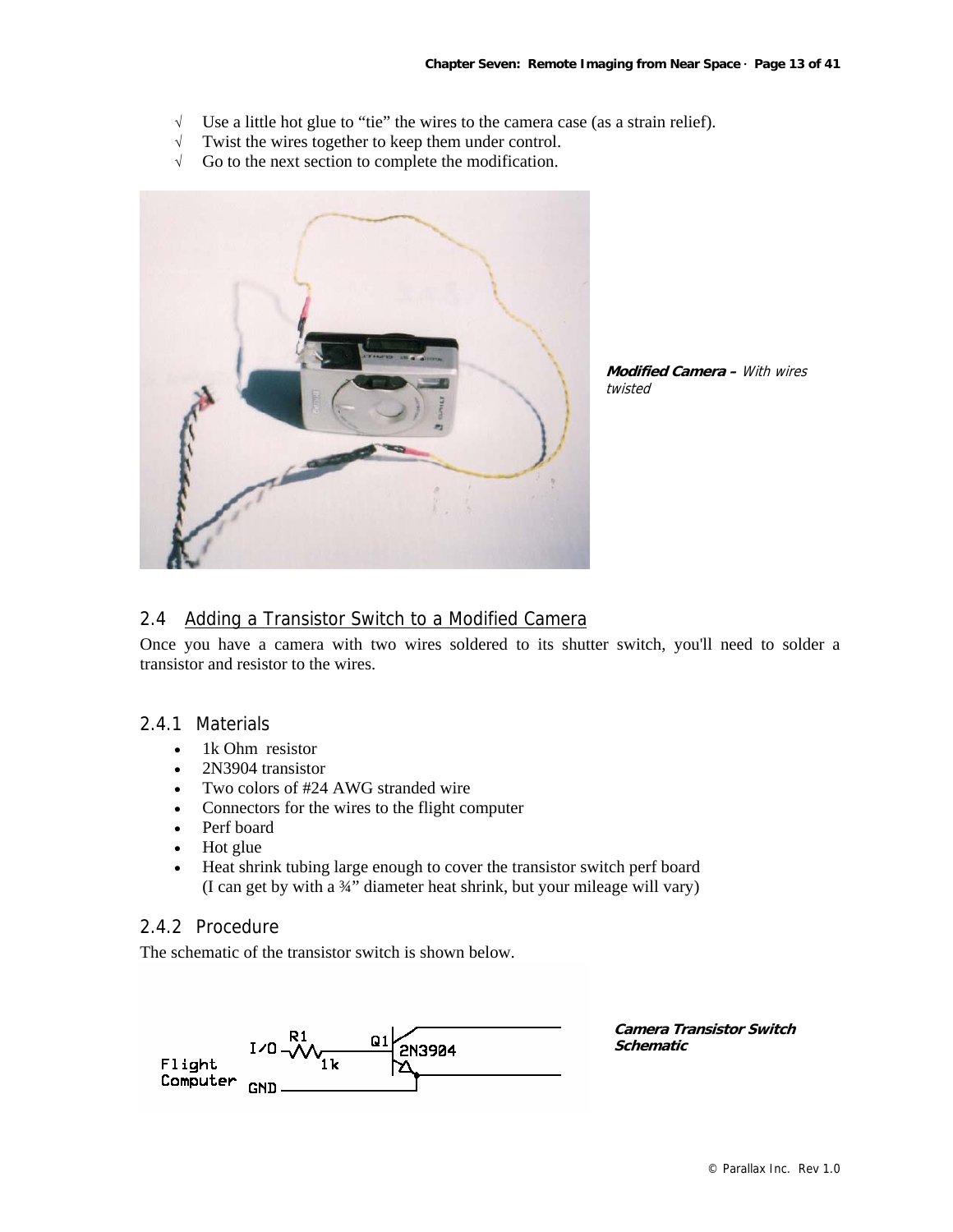- √ Use a little hot glue to "tie" the wires to the camera case (as a strain relief).
- √ Twist the wires together to keep them under control.
- √ Go to the next section to complete the modification.



**Modified Camera –** With wires twisted

#### 2.4 Adding a Transistor Switch to a Modified Camera

Once you have a camera with two wires soldered to its shutter switch, you'll need to solder a transistor and resistor to the wires.

#### 2.4.1 Materials

- 1k Ohm resistor
- 2N3904 transistor
- Two colors of #24 AWG stranded wire
- Connectors for the wires to the flight computer
- Perf board
- Hot glue
- Heat shrink tubing large enough to cover the transistor switch perf board (I can get by with a ¾" diameter heat shrink, but your mileage will vary)

# 2.4.2 Procedure

The schematic of the transistor switch is shown below.



**Camera Transistor Switch Schematic**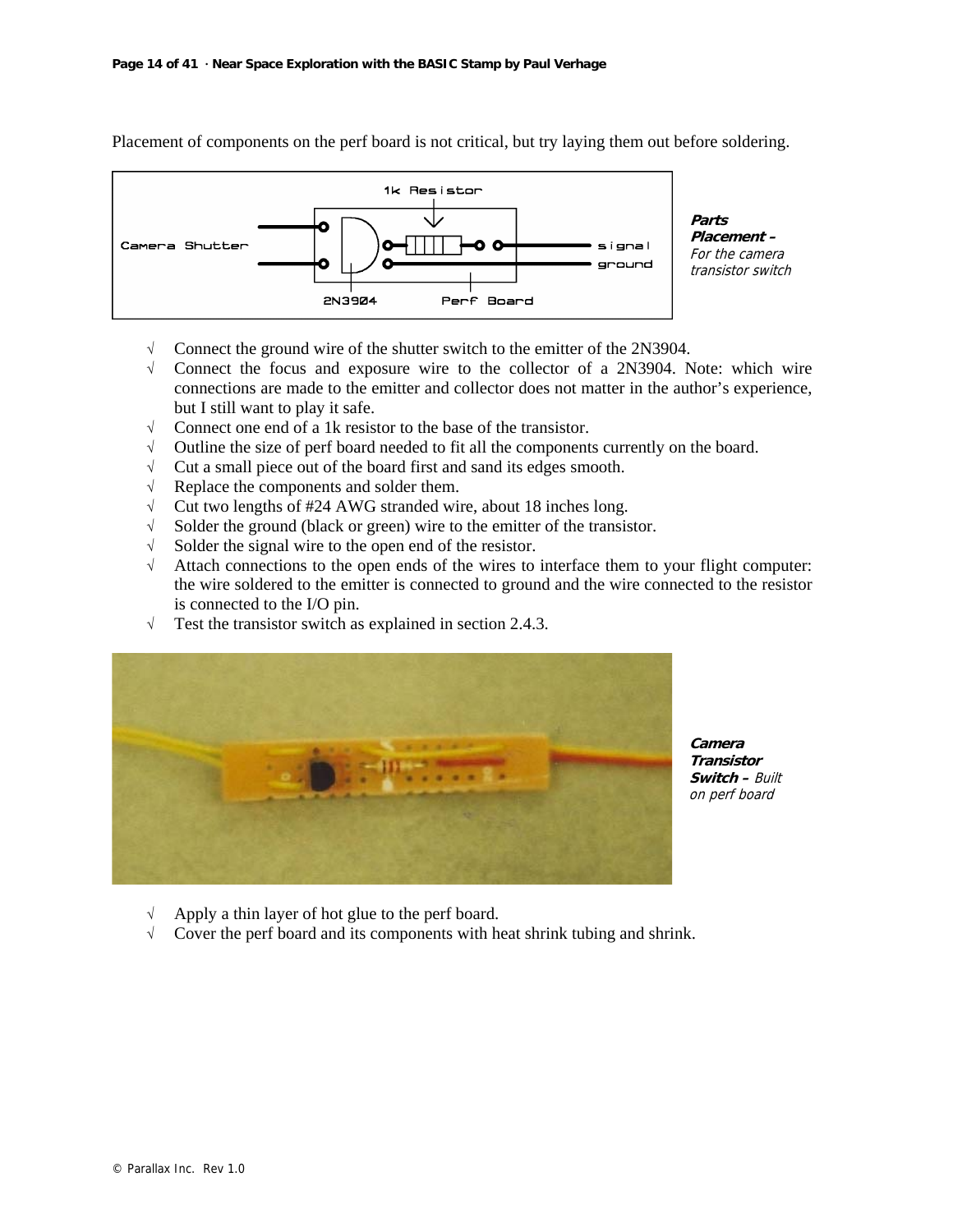

Placement of components on the perf board is not critical, but try laying them out before soldering.

- $\sqrt{\phantom{a}}$  Connect the ground wire of the shutter switch to the emitter of the 2N3904.
- √ Connect the focus and exposure wire to the collector of a 2N3904. Note: which wire connections are made to the emitter and collector does not matter in the author's experience, but I still want to play it safe.
- √ Connect one end of a 1k resistor to the base of the transistor.
- √ Outline the size of perf board needed to fit all the components currently on the board.
- √ Cut a small piece out of the board first and sand its edges smooth.
- √ Replace the components and solder them.
- √ Cut two lengths of #24 AWG stranded wire, about 18 inches long.
- √ Solder the ground (black or green) wire to the emitter of the transistor.
- √ Solder the signal wire to the open end of the resistor.
- √ Attach connections to the open ends of the wires to interface them to your flight computer: the wire soldered to the emitter is connected to ground and the wire connected to the resistor is connected to the I/O pin.
- √ Test the transistor switch as explained in section 2.4.3.



**Camera Transistor Switch –** Built on perf board

- √ Apply a thin layer of hot glue to the perf board.
- √ Cover the perf board and its components with heat shrink tubing and shrink.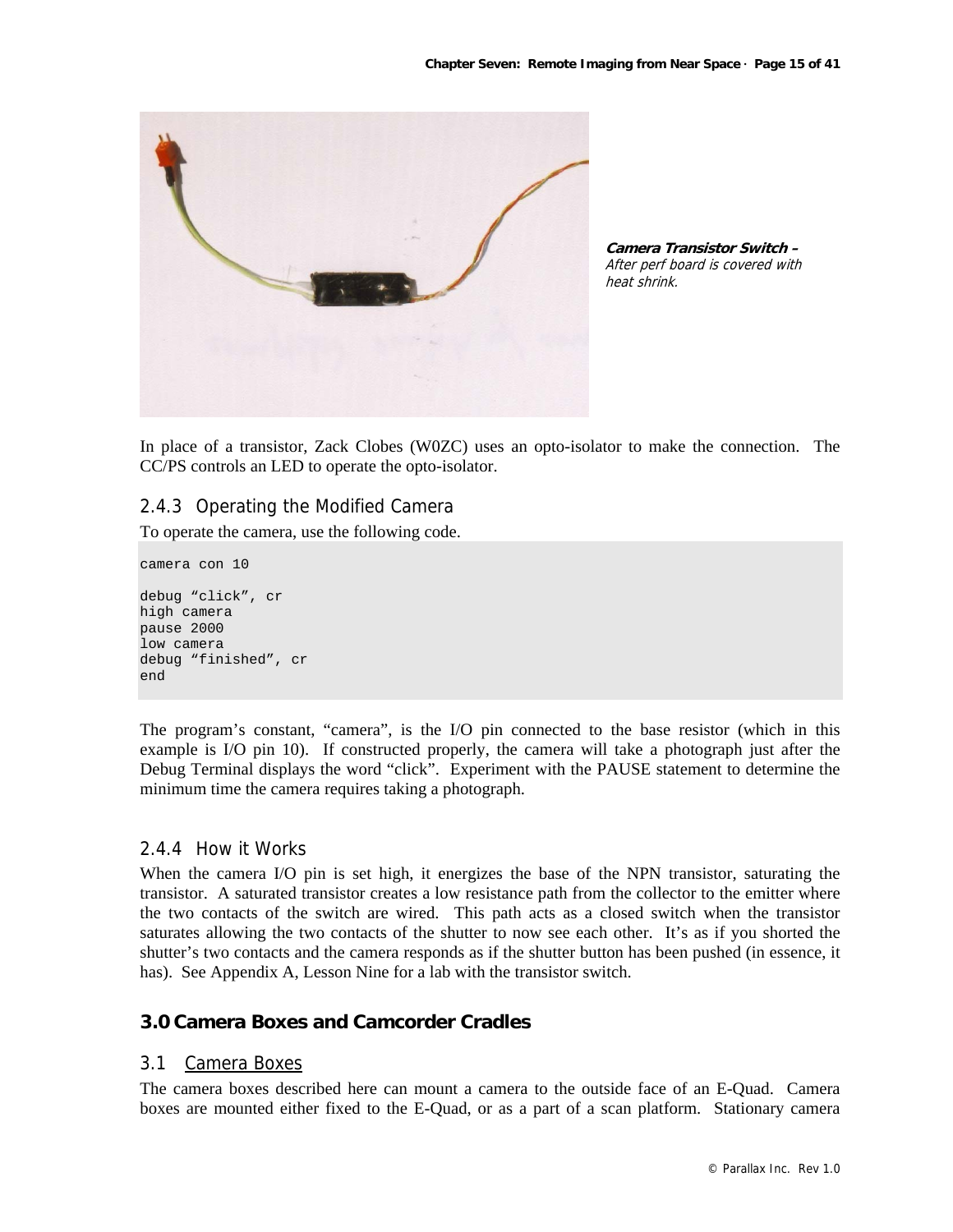

**Camera Transistor Switch –**  After perf board is covered with heat shrink.

In place of a transistor, Zack Clobes (W0ZC) uses an opto-isolator to make the connection. The CC/PS controls an LED to operate the opto-isolator.

# 2.4.3 Operating the Modified Camera

To operate the camera, use the following code.

```
camera con 10
```

```
debug "click", cr 
high camera 
pause 2000 
low camera 
debug "finished", cr 
end
```
The program's constant, "camera", is the I/O pin connected to the base resistor (which in this example is I/O pin 10). If constructed properly, the camera will take a photograph just after the Debug Terminal displays the word "click". Experiment with the PAUSE statement to determine the minimum time the camera requires taking a photograph.

#### 2.4.4 How it Works

When the camera I/O pin is set high, it energizes the base of the NPN transistor, saturating the transistor. A saturated transistor creates a low resistance path from the collector to the emitter where the two contacts of the switch are wired. This path acts as a closed switch when the transistor saturates allowing the two contacts of the shutter to now see each other. It's as if you shorted the shutter's two contacts and the camera responds as if the shutter button has been pushed (in essence, it has). See Appendix A, Lesson Nine for a lab with the transistor switch.

# **3.0 Camera Boxes and Camcorder Cradles**

#### 3.1 Camera Boxes

The camera boxes described here can mount a camera to the outside face of an E-Quad. Camera boxes are mounted either fixed to the E-Quad, or as a part of a scan platform. Stationary camera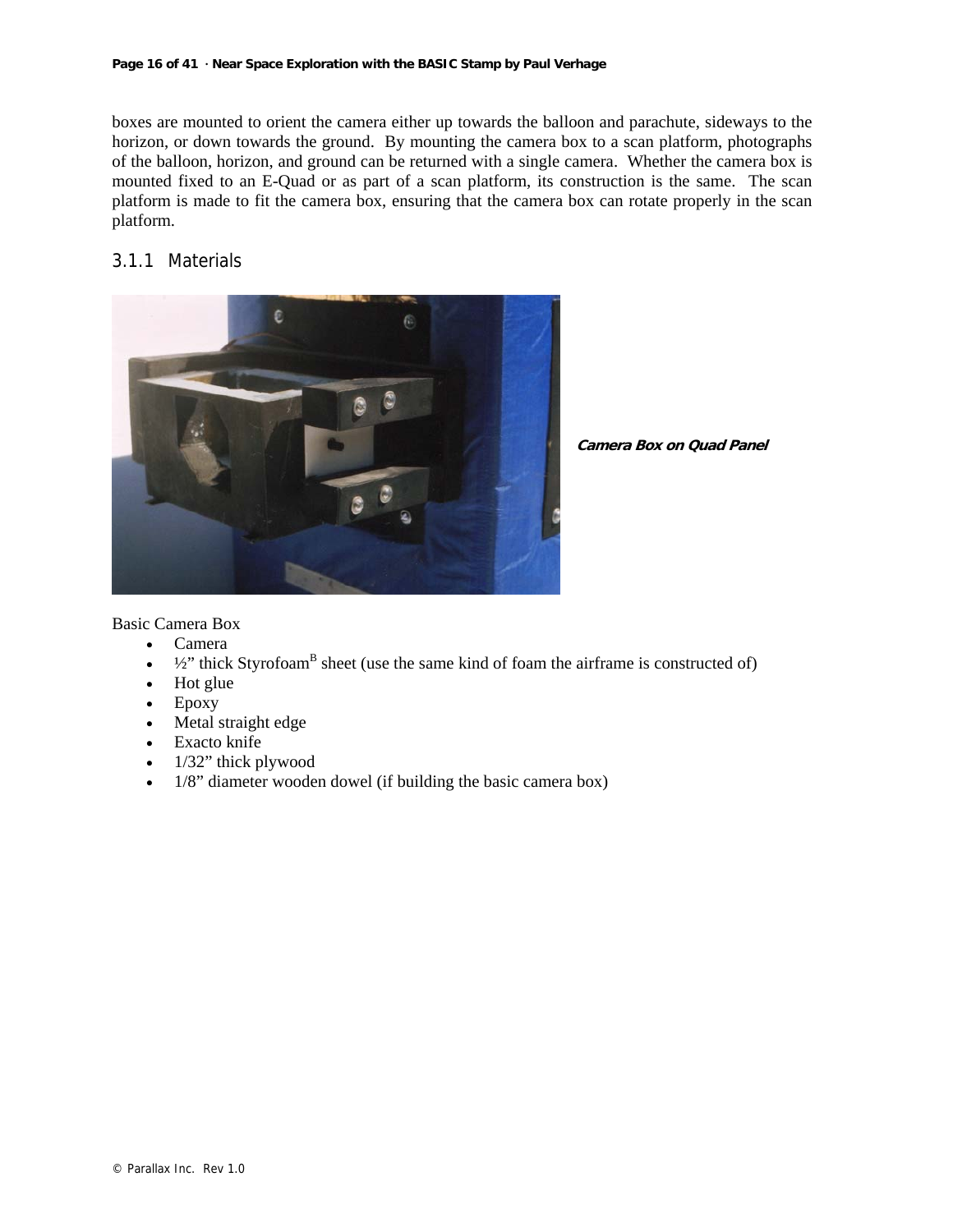#### **Page 16 of 41 · Near Space Exploration with the BASIC Stamp by Paul Verhage**

boxes are mounted to orient the camera either up towards the balloon and parachute, sideways to the horizon, or down towards the ground. By mounting the camera box to a scan platform, photographs of the balloon, horizon, and ground can be returned with a single camera. Whether the camera box is mounted fixed to an E-Quad or as part of a scan platform, its construction is the same. The scan platform is made to fit the camera box, ensuring that the camera box can rotate properly in the scan platform.

# 3.1.1 Materials



**Camera Box on Quad Panel**

Basic Camera Box

- Camera
- $\bullet$   $\frac{1}{2}$ " thick Styrofoam<sup>B</sup> sheet (use the same kind of foam the airframe is constructed of)
- Hot glue
- Epoxy
- Metal straight edge
- Exacto knife
- 1/32" thick plywood
- 1/8" diameter wooden dowel (if building the basic camera box)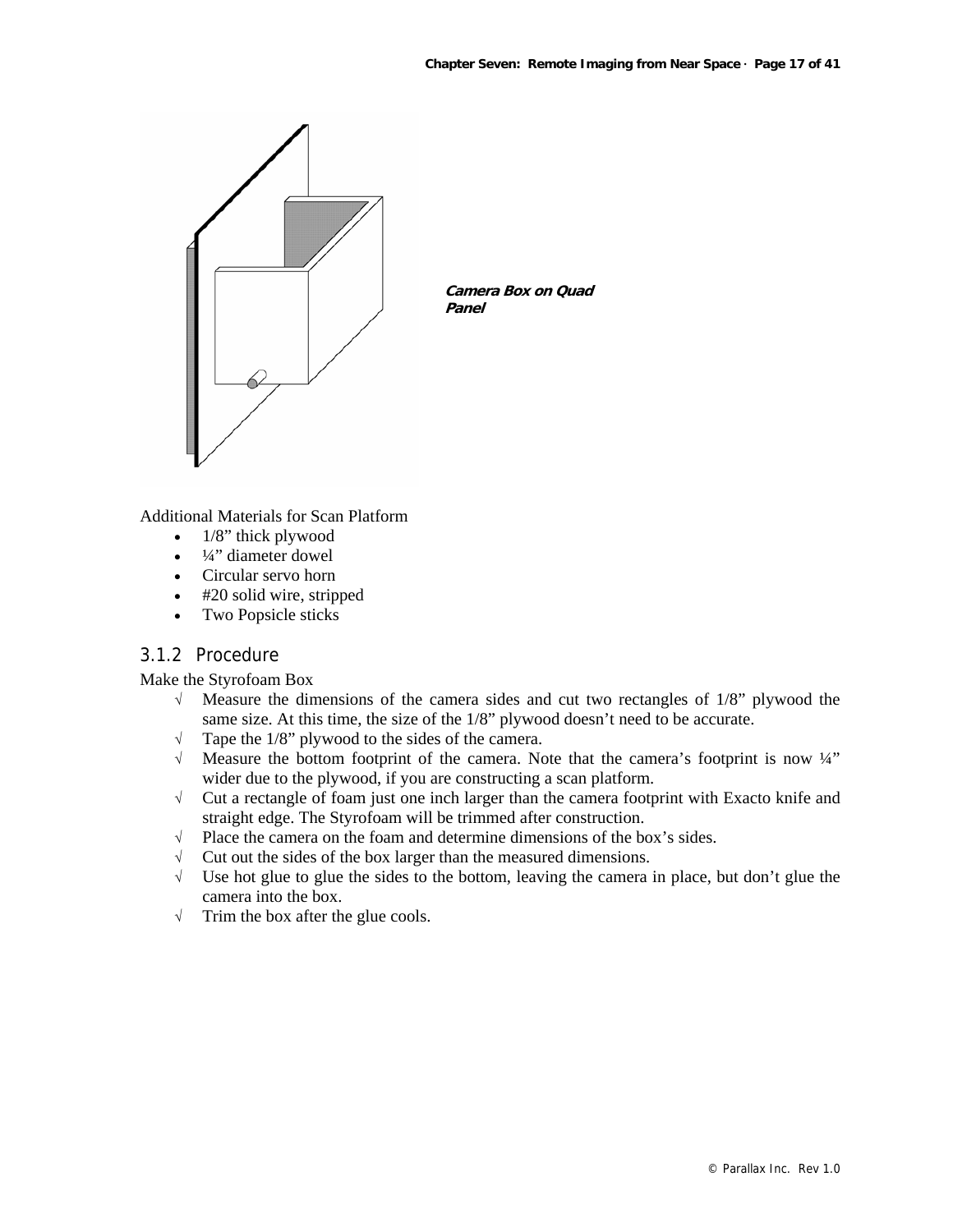

Additional Materials for Scan Platform

- 1/8" thick plywood
- $\bullet$   $\frac{1}{4}$ " diameter dowel
- Circular servo horn
- #20 solid wire, stripped
- Two Popsicle sticks

# 3.1.2 Procedure

Make the Styrofoam Box

- $\sqrt{\ }$  Measure the dimensions of the camera sides and cut two rectangles of 1/8" plywood the same size. At this time, the size of the 1/8" plywood doesn't need to be accurate.
- $\sqrt{\phantom{a}}$  Tape the 1/8" plywood to the sides of the camera.
- $\sqrt{\ }$  Measure the bottom footprint of the camera. Note that the camera's footprint is now  $\frac{1}{4}$ " wider due to the plywood, if you are constructing a scan platform.
- √ Cut a rectangle of foam just one inch larger than the camera footprint with Exacto knife and straight edge. The Styrofoam will be trimmed after construction.
- √ Place the camera on the foam and determine dimensions of the box's sides.
- $\sqrt{\phantom{a}}$  Cut out the sides of the box larger than the measured dimensions.
- √ Use hot glue to glue the sides to the bottom, leaving the camera in place, but don't glue the camera into the box.
- √ Trim the box after the glue cools.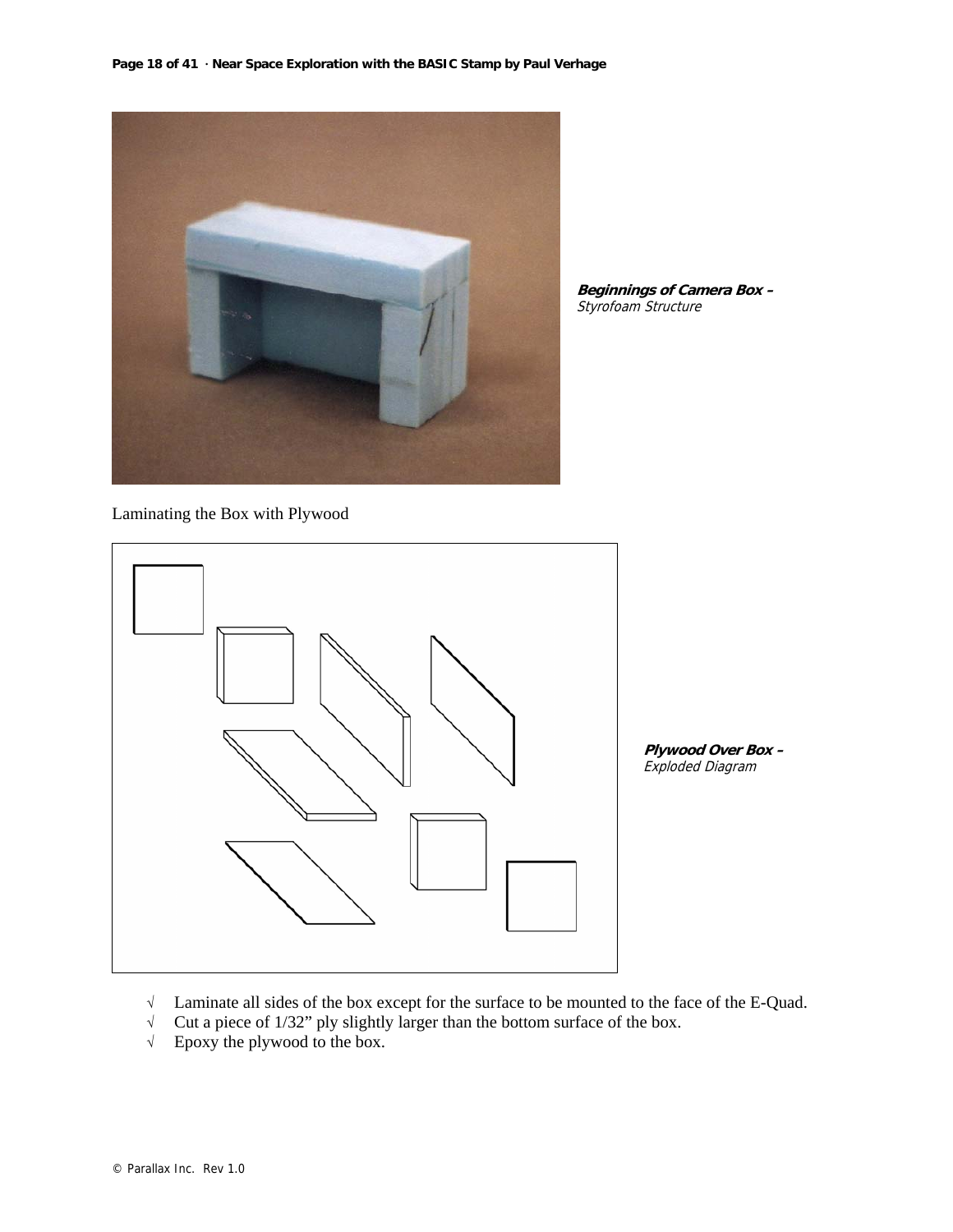

**Beginnings of Camera Box –**  Styrofoam Structure

Laminating the Box with Plywood



**Plywood Over Box –**  Exploded Diagram

- √ Laminate all sides of the box except for the surface to be mounted to the face of the E-Quad.
- √ Cut a piece of 1/32" ply slightly larger than the bottom surface of the box.
- √ Epoxy the plywood to the box.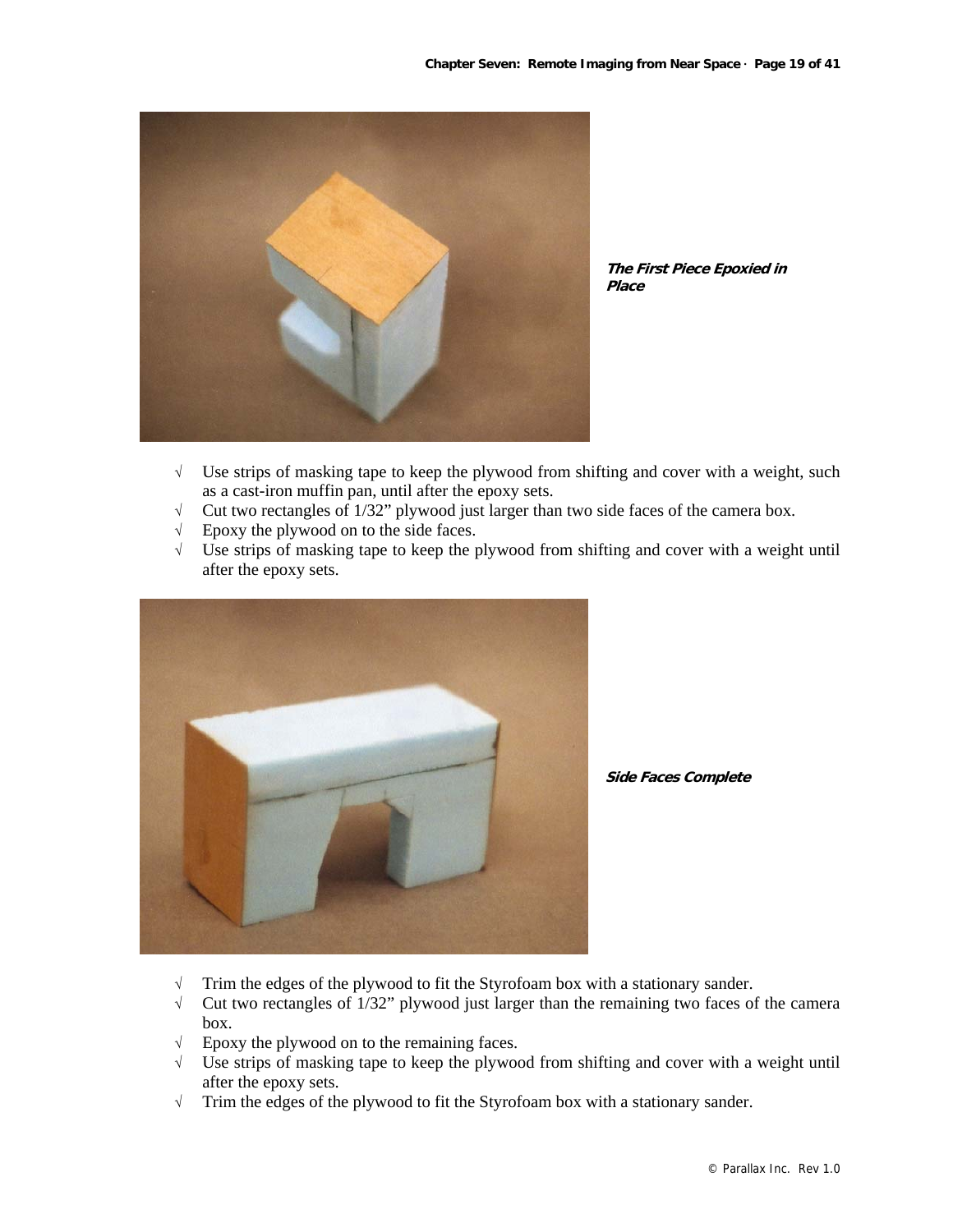

**The First Piece Epoxied in Place**

- $\sqrt{\phantom{a}}$  Use strips of masking tape to keep the plywood from shifting and cover with a weight, such as a cast-iron muffin pan, until after the epoxy sets.
- √ Cut two rectangles of 1/32" plywood just larger than two side faces of the camera box.
- √ Epoxy the plywood on to the side faces.
- √ Use strips of masking tape to keep the plywood from shifting and cover with a weight until after the epoxy sets.



**Side Faces Complete**

- √ Trim the edges of the plywood to fit the Styrofoam box with a stationary sander.
- √ Cut two rectangles of 1/32" plywood just larger than the remaining two faces of the camera box.
- √ Epoxy the plywood on to the remaining faces.
- √ Use strips of masking tape to keep the plywood from shifting and cover with a weight until after the epoxy sets.
- √ Trim the edges of the plywood to fit the Styrofoam box with a stationary sander.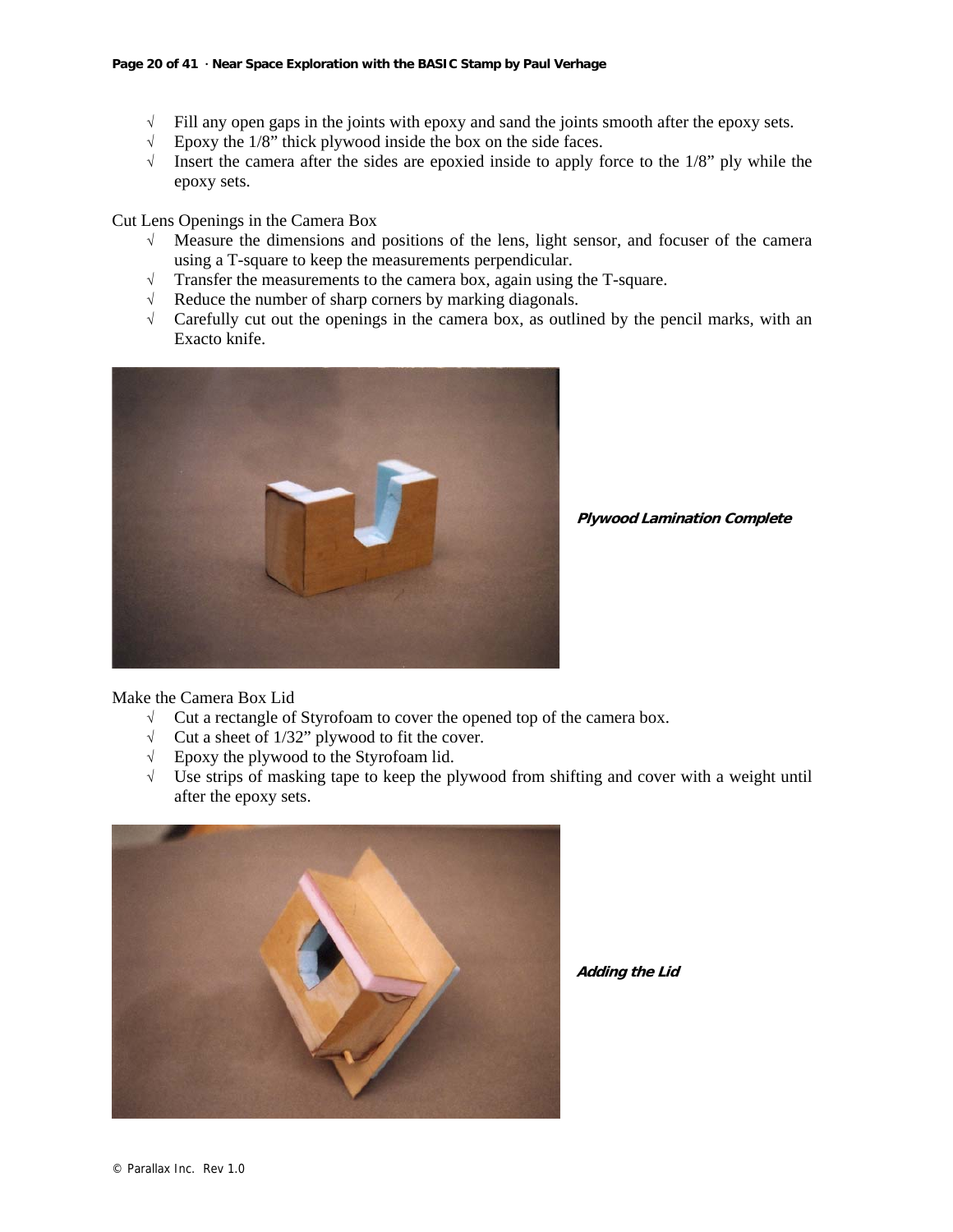- $\sqrt{\phantom{a}}$  Fill any open gaps in the joints with epoxy and sand the joints smooth after the epoxy sets.
- √ Epoxy the 1/8" thick plywood inside the box on the side faces.
- √ Insert the camera after the sides are epoxied inside to apply force to the 1/8" ply while the epoxy sets.

Cut Lens Openings in the Camera Box

- √ Measure the dimensions and positions of the lens, light sensor, and focuser of the camera using a T-square to keep the measurements perpendicular.
- √ Transfer the measurements to the camera box, again using the T-square.
- √ Reduce the number of sharp corners by marking diagonals.
- $\sqrt{\phantom{a}}$  Carefully cut out the openings in the camera box, as outlined by the pencil marks, with an Exacto knife.



**Plywood Lamination Complete**

#### Make the Camera Box Lid

- √ Cut a rectangle of Styrofoam to cover the opened top of the camera box.
- √ Cut a sheet of 1/32" plywood to fit the cover.
- √ Epoxy the plywood to the Styrofoam lid.
- √ Use strips of masking tape to keep the plywood from shifting and cover with a weight until after the epoxy sets.



**Adding the Lid**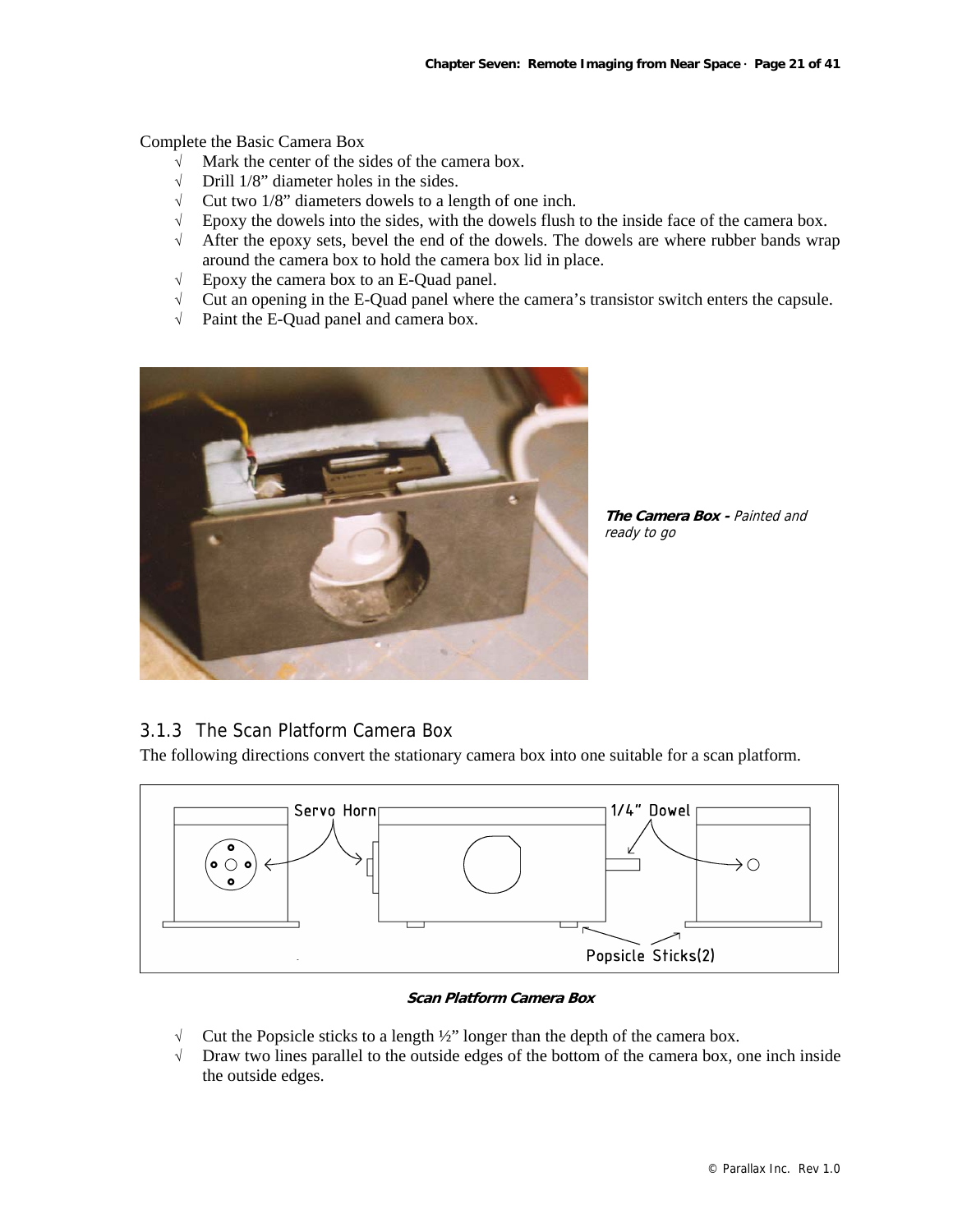Complete the Basic Camera Box

- √ Mark the center of the sides of the camera box.
- √ Drill 1/8" diameter holes in the sides.
- √ Cut two 1/8" diameters dowels to a length of one inch.
- √ Epoxy the dowels into the sides, with the dowels flush to the inside face of the camera box.
- √ After the epoxy sets, bevel the end of the dowels. The dowels are where rubber bands wrap around the camera box to hold the camera box lid in place.
- √ Epoxy the camera box to an E-Quad panel.
- √ Cut an opening in the E-Quad panel where the camera's transistor switch enters the capsule.
- √ Paint the E-Quad panel and camera box.



**The Camera Box - Painted and** ready to go

# 3.1.3 The Scan Platform Camera Box

The following directions convert the stationary camera box into one suitable for a scan platform.



#### **Scan Platform Camera Box**

- √ Cut the Popsicle sticks to a length ½" longer than the depth of the camera box.
- √ Draw two lines parallel to the outside edges of the bottom of the camera box, one inch inside the outside edges.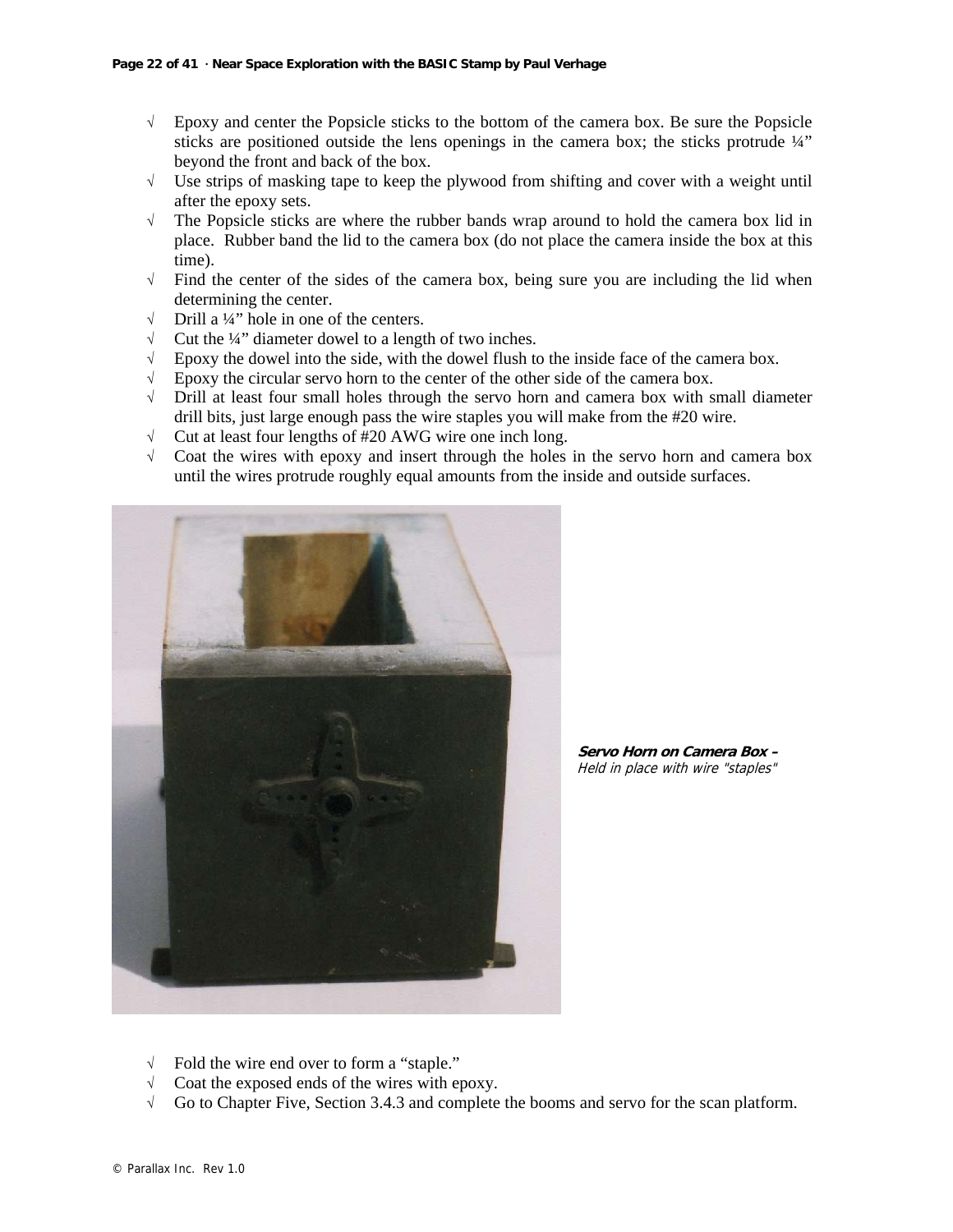- √ Epoxy and center the Popsicle sticks to the bottom of the camera box. Be sure the Popsicle sticks are positioned outside the lens openings in the camera box; the sticks protrude ¼" beyond the front and back of the box.
- √ Use strips of masking tape to keep the plywood from shifting and cover with a weight until after the epoxy sets.
- √ The Popsicle sticks are where the rubber bands wrap around to hold the camera box lid in place. Rubber band the lid to the camera box (do not place the camera inside the box at this time).
- $\sqrt{\ }$  Find the center of the sides of the camera box, being sure you are including the lid when determining the center.
- $\sqrt{\phantom{a}}$  Drill a ¼" hole in one of the centers.
- $\sqrt{\phantom{a}}$  Cut the ¼" diameter dowel to a length of two inches.
- √ Epoxy the dowel into the side, with the dowel flush to the inside face of the camera box.
- √ Epoxy the circular servo horn to the center of the other side of the camera box.
- $\sqrt{\phantom{a}}$  Drill at least four small holes through the servo horn and camera box with small diameter drill bits, just large enough pass the wire staples you will make from the #20 wire.
- √ Cut at least four lengths of #20 AWG wire one inch long.
- √ Coat the wires with epoxy and insert through the holes in the servo horn and camera box until the wires protrude roughly equal amounts from the inside and outside surfaces.



**Servo Horn on Camera Box –**  Held in place with wire "staples"

- √ Fold the wire end over to form a "staple."
- √ Coat the exposed ends of the wires with epoxy.
- √ Go to Chapter Five, Section 3.4.3 and complete the booms and servo for the scan platform.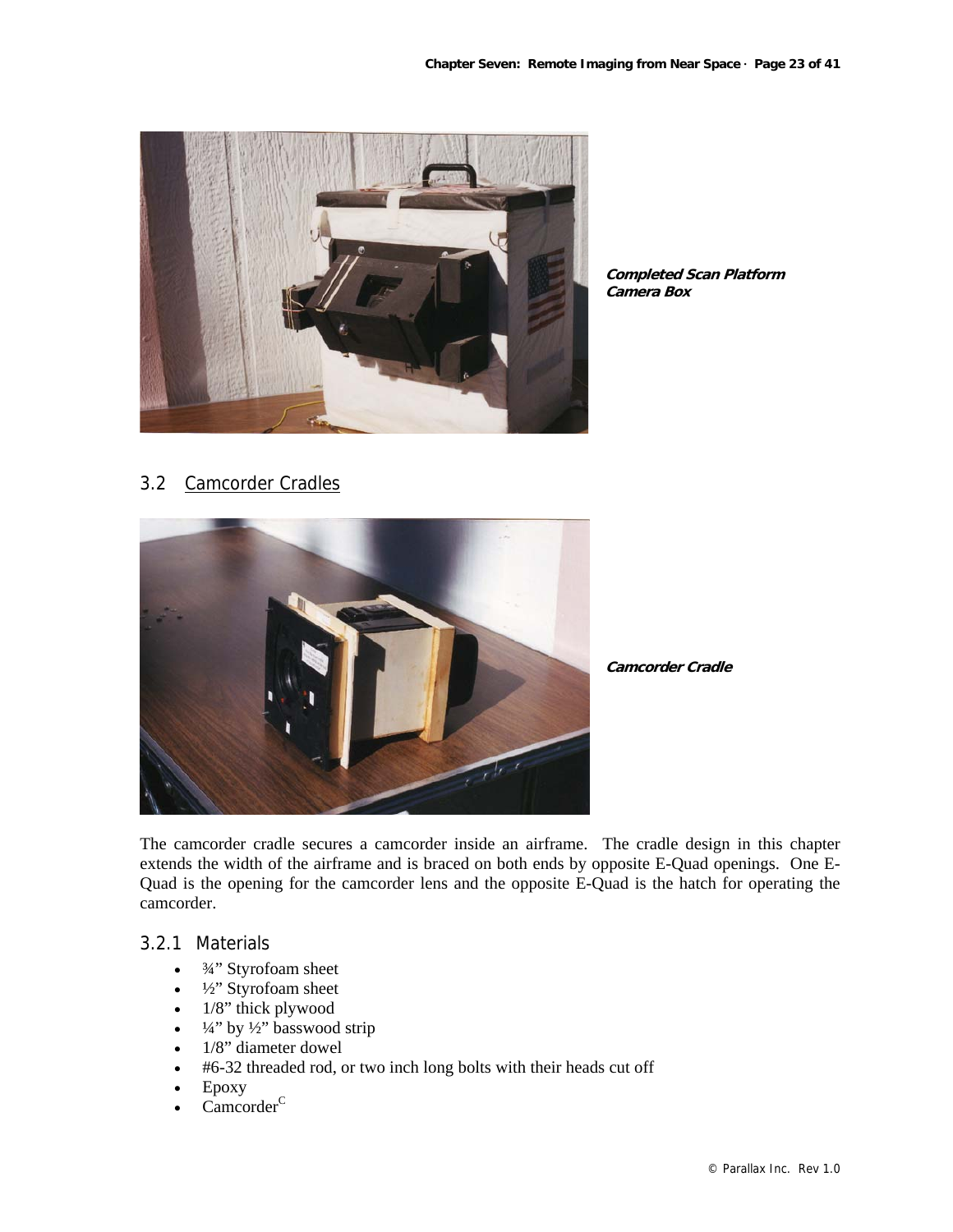

**Completed Scan Platform Camera Box**

3.2 Camcorder Cradles



**Camcorder Cradle**

The camcorder cradle secures a camcorder inside an airframe. The cradle design in this chapter extends the width of the airframe and is braced on both ends by opposite E-Quad openings. One E-Quad is the opening for the camcorder lens and the opposite E-Quad is the hatch for operating the camcorder.

# 3.2.1 Materials

- $\bullet$   $\frac{3}{4}$ " Styrofoam sheet
- <sup>1</sup>/<sub>2</sub>" Styrofoam sheet
- $\bullet$  1/8" thick plywood
- $\frac{1}{4}$ " by  $\frac{1}{2}$ " basswood strip
- 1/8" diameter dowel
- #6-32 threaded rod, or two inch long bolts with their heads cut off
- Epoxy
- $C$ amcorder $<sup>C</sup>$ </sup>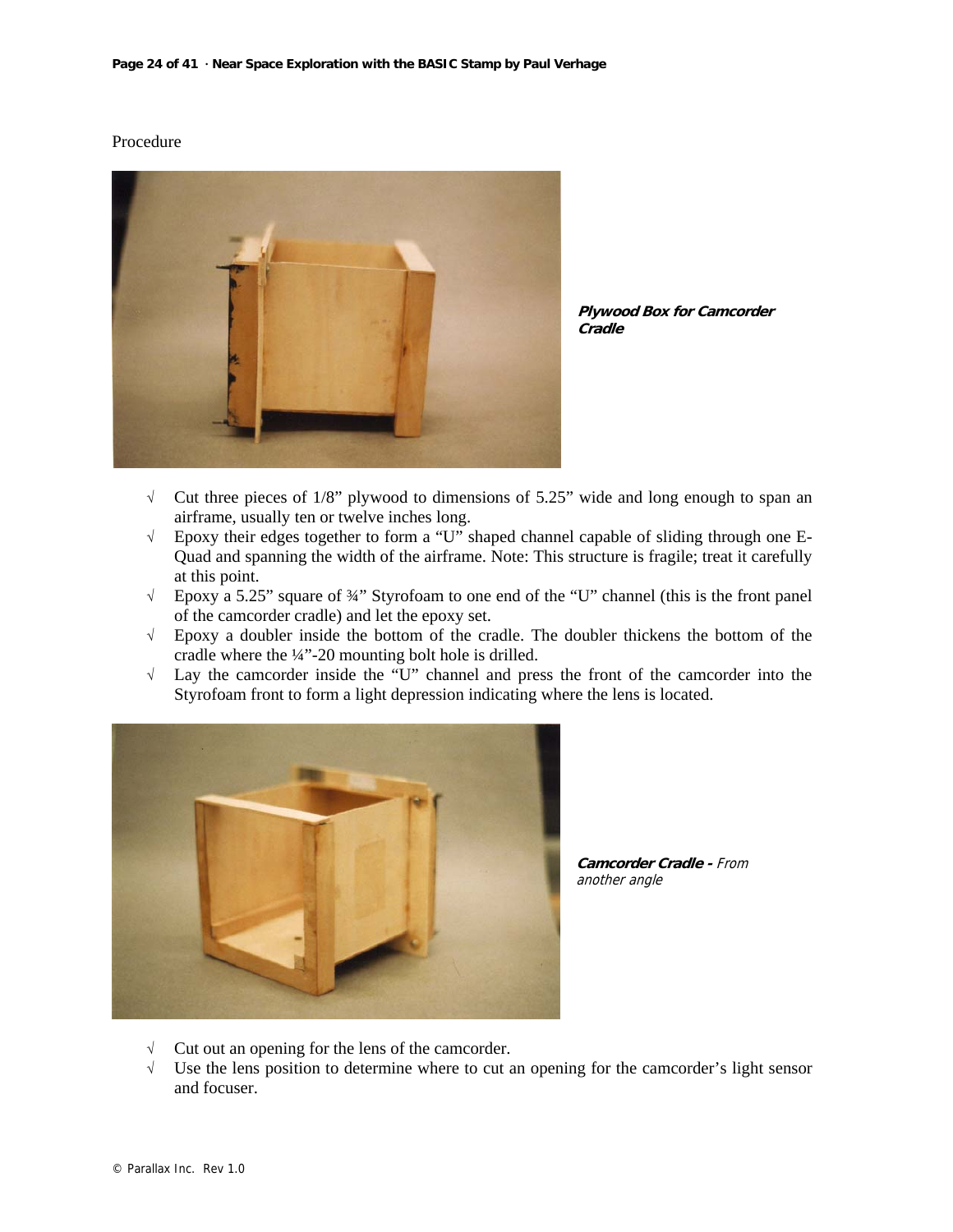#### Procedure



**Plywood Box for Camcorder Cradle**

- √ Cut three pieces of 1/8" plywood to dimensions of 5.25" wide and long enough to span an airframe, usually ten or twelve inches long.
- √ Epoxy their edges together to form a "U" shaped channel capable of sliding through one E-Quad and spanning the width of the airframe. Note: This structure is fragile; treat it carefully at this point.
- √ Epoxy a 5.25" square of ¾" Styrofoam to one end of the "U" channel (this is the front panel of the camcorder cradle) and let the epoxy set.
- √ Epoxy a doubler inside the bottom of the cradle. The doubler thickens the bottom of the cradle where the ¼"-20 mounting bolt hole is drilled.
- √ Lay the camcorder inside the "U" channel and press the front of the camcorder into the Styrofoam front to form a light depression indicating where the lens is located.



**Camcorder Cradle -** From another angle

- √ Cut out an opening for the lens of the camcorder.
- √ Use the lens position to determine where to cut an opening for the camcorder's light sensor and focuser.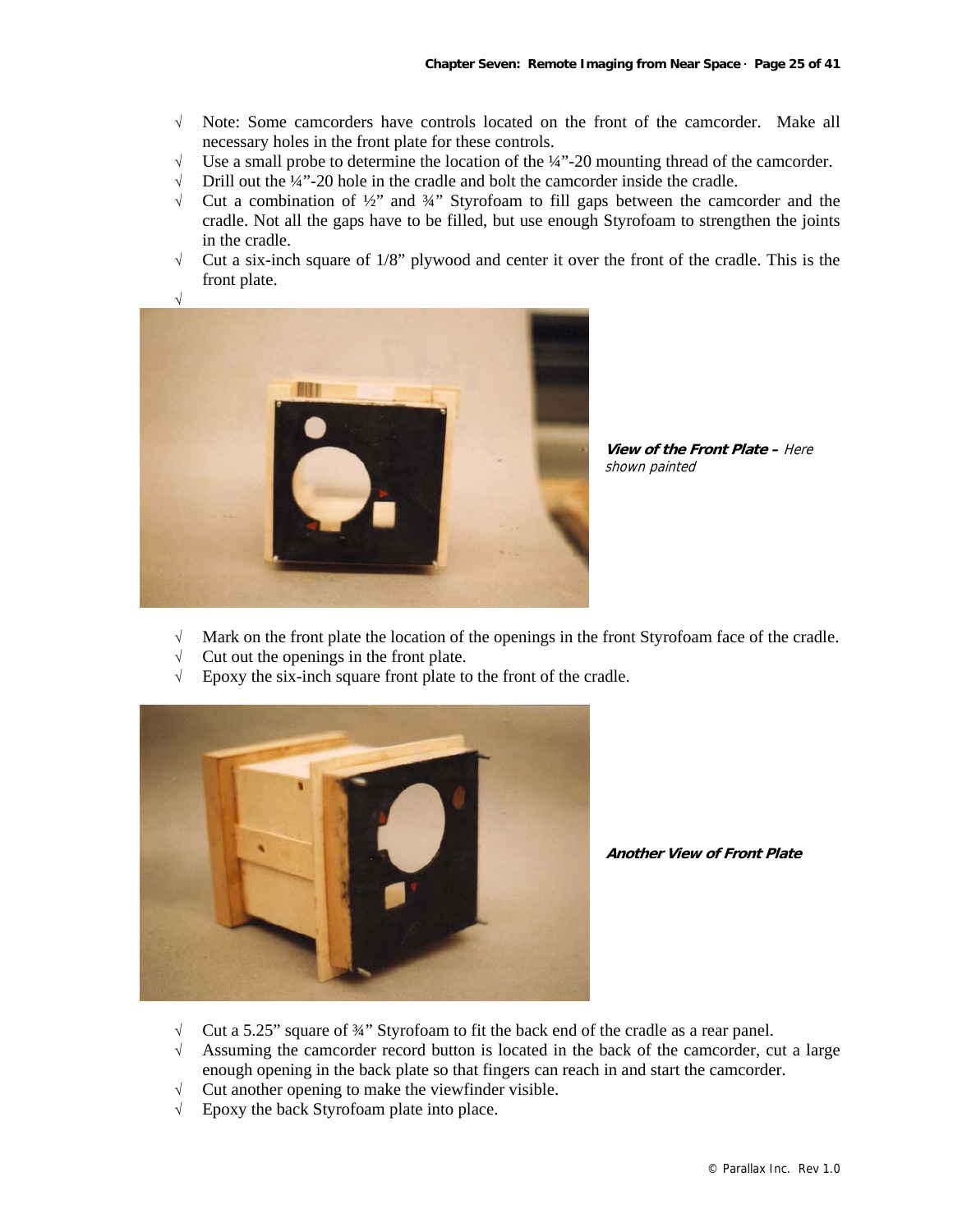- √ Note: Some camcorders have controls located on the front of the camcorder. Make all necessary holes in the front plate for these controls.
- $\sqrt{\phantom{a}}$  Use a small probe to determine the location of the ¼"-20 mounting thread of the camcorder.<br>
↓ Drill out the ¼"-20 hole in the cradle and bolt the camcorder inside the cradle.
- Drill out the ¼"-20 hole in the cradle and bolt the camcorder inside the cradle.
- $\sqrt{\phantom{a}}$  Cut a combination of  $\frac{1}{2}$ " and  $\frac{3}{4}$ " Styrofoam to fill gaps between the camcorder and the cradle. Not all the gaps have to be filled, but use enough Styrofoam to strengthen the joints in the cradle.
- $\sqrt{\phantom{a}}$  Cut a six-inch square of 1/8" plywood and center it over the front of the cradle. This is the front plate.



**View of the Front Plate –** Here shown painted

- √ Mark on the front plate the location of the openings in the front Styrofoam face of the cradle.
- $\sqrt{\phantom{a}}$  Cut out the openings in the front plate.
- √ Epoxy the six-inch square front plate to the front of the cradle.



**Another View of Front Plate**

- $\sqrt{\phantom{a}}$  Cut a 5.25" square of 34" Styrofoam to fit the back end of the cradle as a rear panel.
- $\sqrt{\phantom{a}}$  Assuming the camcorder record button is located in the back of the camcorder, cut a large enough opening in the back plate so that fingers can reach in and start the camcorder.
- $\sqrt{\phantom{a}}$  Cut another opening to make the viewfinder visible.
- √ Epoxy the back Styrofoam plate into place.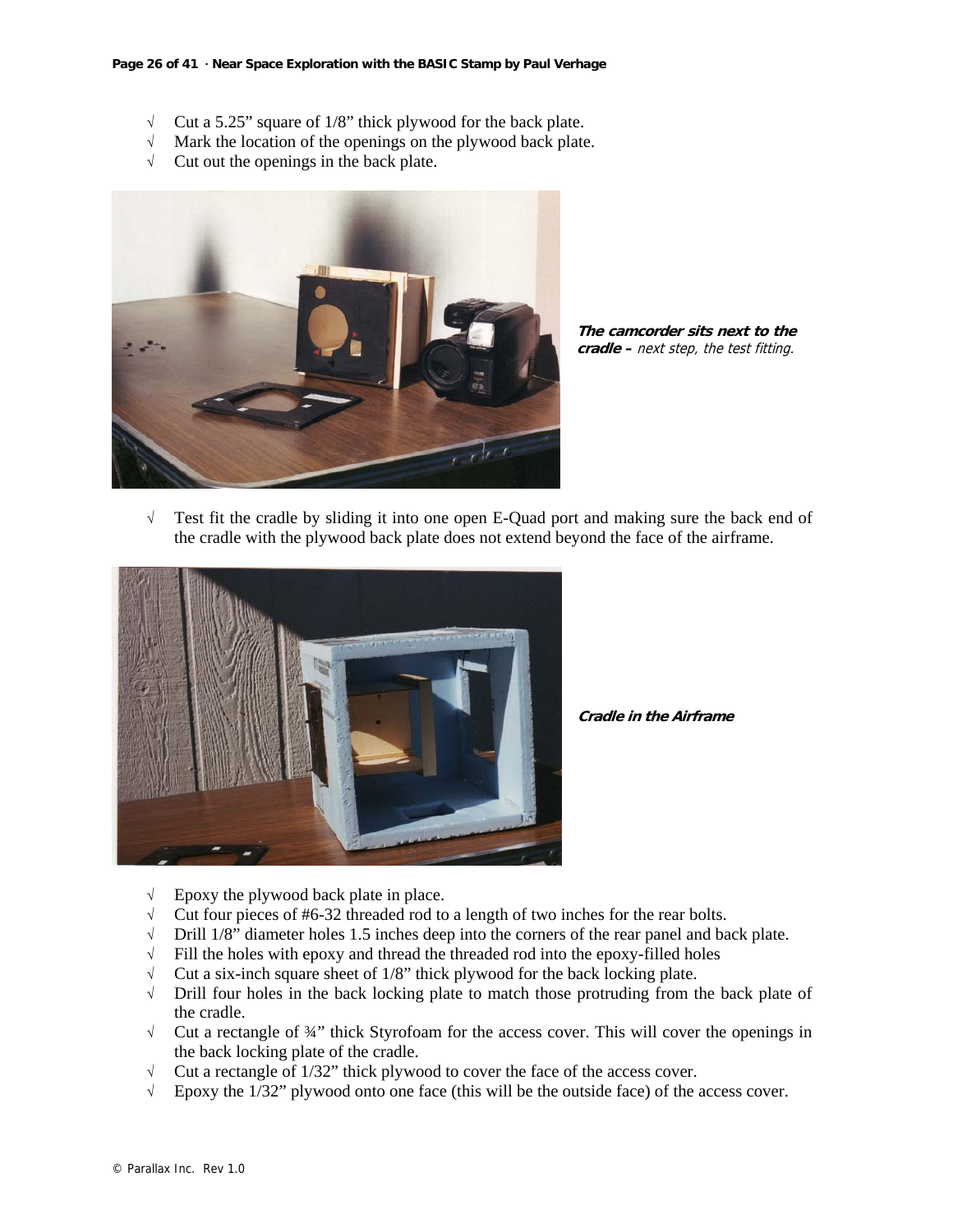- $\sqrt{\phantom{a}}$  Cut a 5.25" square of 1/8" thick plywood for the back plate.
- √ Mark the location of the openings on the plywood back plate.
- $\sqrt{\phantom{a}}$  Cut out the openings in the back plate.



**The camcorder sits next to the cradle –** next step, the test fitting.

√ Test fit the cradle by sliding it into one open E-Quad port and making sure the back end of the cradle with the plywood back plate does not extend beyond the face of the airframe.



**Cradle in the Airframe**

- $\sqrt{\phantom{a}}$  Epoxy the plywood back plate in place.
- √ Cut four pieces of #6-32 threaded rod to a length of two inches for the rear bolts.
- √ Drill 1/8" diameter holes 1.5 inches deep into the corners of the rear panel and back plate.
- $\sqrt{\phantom{a}}$  Fill the holes with epoxy and thread the threaded rod into the epoxy-filled holes
- $\sqrt{\phantom{a}}$  Cut a six-inch square sheet of 1/8" thick plywood for the back locking plate.<br> $\sqrt{\phantom{a}}$  Drill four holes in the back locking plate to match those protruding from t
- Drill four holes in the back locking plate to match those protruding from the back plate of the cradle.
- $\sqrt{\phantom{a}}$  Cut a rectangle of  $\frac{3}{4}$ " thick Styrofoam for the access cover. This will cover the openings in the back locking plate of the cradle.
- $\sqrt{\phantom{a}}$  Cut a rectangle of 1/32" thick plywood to cover the face of the access cover.
- $\sqrt{\phantom{a}}$  Epoxy the 1/32" plywood onto one face (this will be the outside face) of the access cover.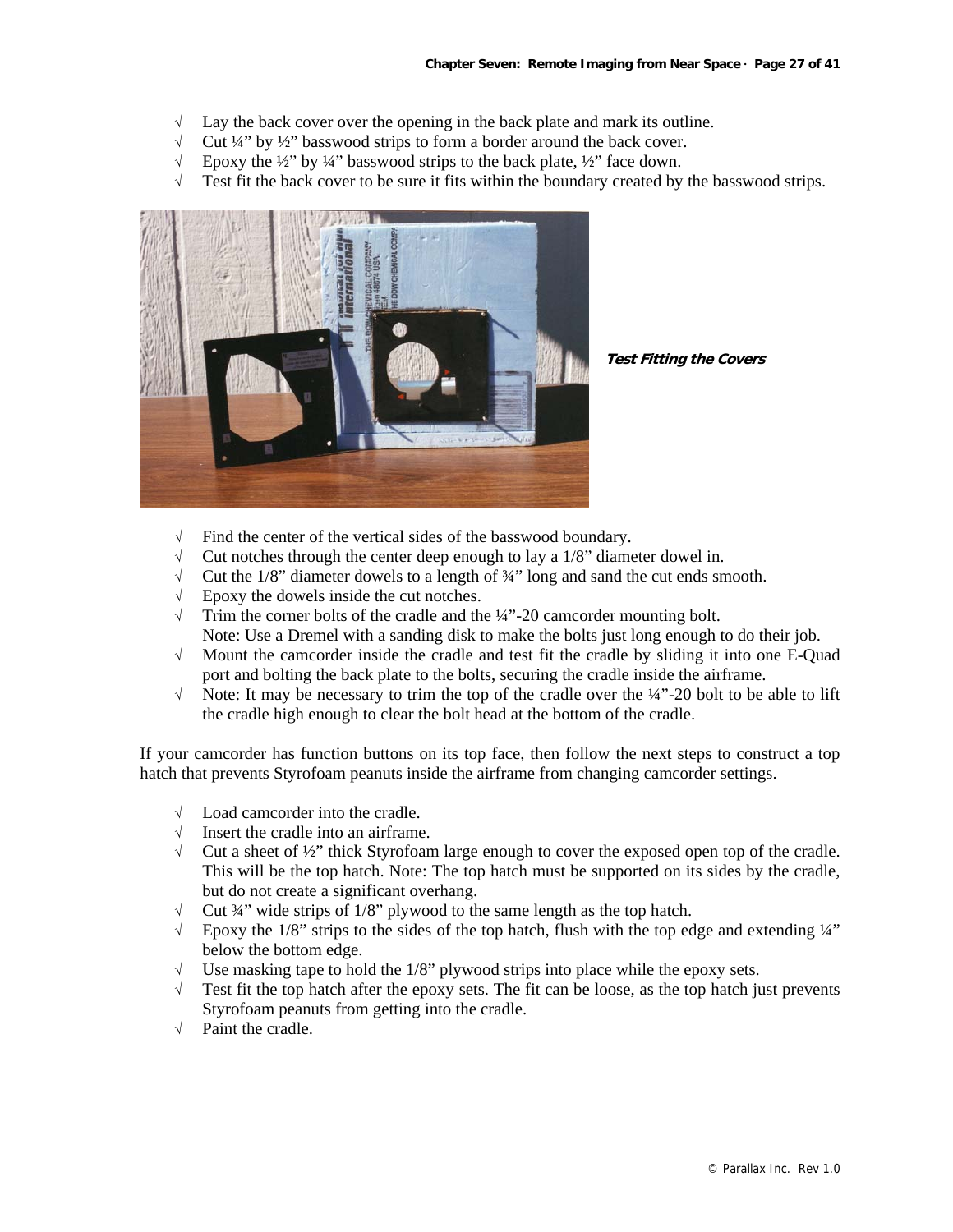- $\sqrt{\phantom{a}}$  Lay the back cover over the opening in the back plate and mark its outline.
- √ Cut ¼" by ½" basswood strips to form a border around the back cover.
- $\sqrt{\phantom{a}}$  Epoxy the ½" by ¼" basswood strips to the back plate, ½" face down.
- $\sqrt{\phantom{a}}$  Test fit the back cover to be sure it fits within the boundary created by the basswood strips.



**Test Fitting the Covers**

- √ Find the center of the vertical sides of the basswood boundary.
- $\sqrt{\phantom{a}}$  Cut notches through the center deep enough to lay a 1/8" diameter dowel in.
- $\sqrt{\phantom{a}}$  Cut the 1/8" diameter dowels to a length of  $\frac{3}{4}$ " long and sand the cut ends smooth.
- $\sqrt{\phantom{a}}$  Epoxy the dowels inside the cut notches.
- $\sqrt{\phantom{a}}$  Trim the corner bolts of the cradle and the ¼"-20 camcorder mounting bolt. Note: Use a Dremel with a sanding disk to make the bolts just long enough to do their job.
- √ Mount the camcorder inside the cradle and test fit the cradle by sliding it into one E-Quad port and bolting the back plate to the bolts, securing the cradle inside the airframe.
- √ Note: It may be necessary to trim the top of the cradle over the ¼"-20 bolt to be able to lift the cradle high enough to clear the bolt head at the bottom of the cradle.

If your camcorder has function buttons on its top face, then follow the next steps to construct a top hatch that prevents Styrofoam peanuts inside the airframe from changing camcorder settings.

- Load camcorder into the cradle.
- √ Insert the cradle into an airframe.
- $\sqrt{\phantom{a}}$  Cut a sheet of ½" thick Styrofoam large enough to cover the exposed open top of the cradle. This will be the top hatch. Note: The top hatch must be supported on its sides by the cradle, but do not create a significant overhang.
- √ Cut ¾" wide strips of 1/8" plywood to the same length as the top hatch.
- $\sqrt{\phantom{a}}$  Epoxy the 1/8" strips to the sides of the top hatch, flush with the top edge and extending ¼" below the bottom edge.
- Use masking tape to hold the 1/8" plywood strips into place while the epoxy sets.
- $\sqrt{\phantom{a}}$  Test fit the top hatch after the epoxy sets. The fit can be loose, as the top hatch just prevents Styrofoam peanuts from getting into the cradle.
- √ Paint the cradle.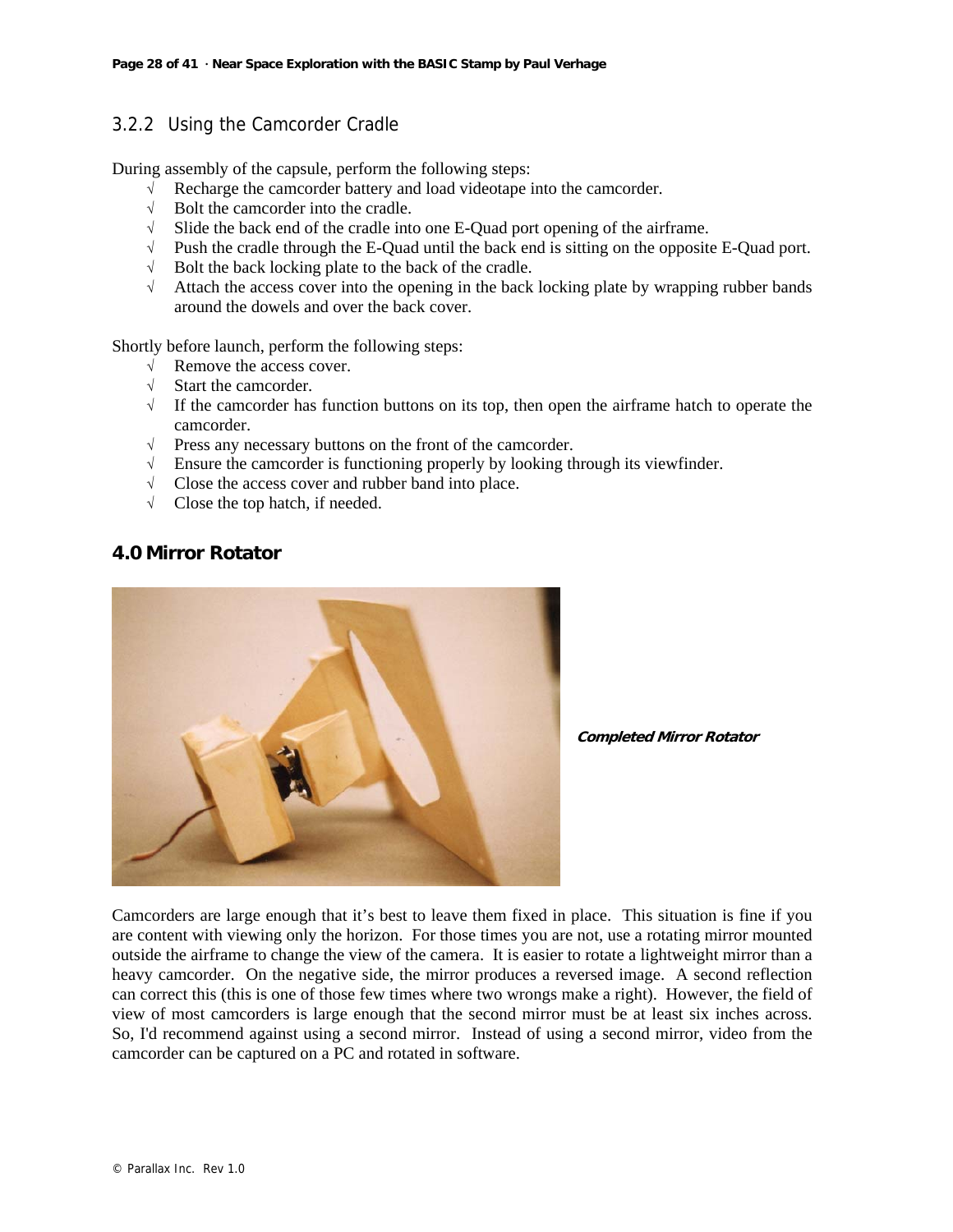# 3.2.2 Using the Camcorder Cradle

During assembly of the capsule, perform the following steps:

- √ Recharge the camcorder battery and load videotape into the camcorder.
- √ Bolt the camcorder into the cradle.
- $\sqrt{\phantom{a}}$  Slide the back end of the cradle into one E-Quad port opening of the airframe.
- √ Push the cradle through the E-Quad until the back end is sitting on the opposite E-Quad port.
- √ Bolt the back locking plate to the back of the cradle.
- $\sqrt{\phantom{a}}$  Attach the access cover into the opening in the back locking plate by wrapping rubber bands around the dowels and over the back cover.

Shortly before launch, perform the following steps:

- √ Remove the access cover.
- √ Start the camcorder.
- √ If the camcorder has function buttons on its top, then open the airframe hatch to operate the camcorder.
- √ Press any necessary buttons on the front of the camcorder.
- $\sqrt{\phantom{a}}$  Ensure the camcorder is functioning properly by looking through its viewfinder.
- √ Close the access cover and rubber band into place.
- √ Close the top hatch, if needed.

# **4.0 Mirror Rotator**



**Completed Mirror Rotator**

Camcorders are large enough that it's best to leave them fixed in place. This situation is fine if you are content with viewing only the horizon. For those times you are not, use a rotating mirror mounted outside the airframe to change the view of the camera. It is easier to rotate a lightweight mirror than a heavy camcorder. On the negative side, the mirror produces a reversed image. A second reflection can correct this (this is one of those few times where two wrongs make a right). However, the field of view of most camcorders is large enough that the second mirror must be at least six inches across. So, I'd recommend against using a second mirror. Instead of using a second mirror, video from the camcorder can be captured on a PC and rotated in software.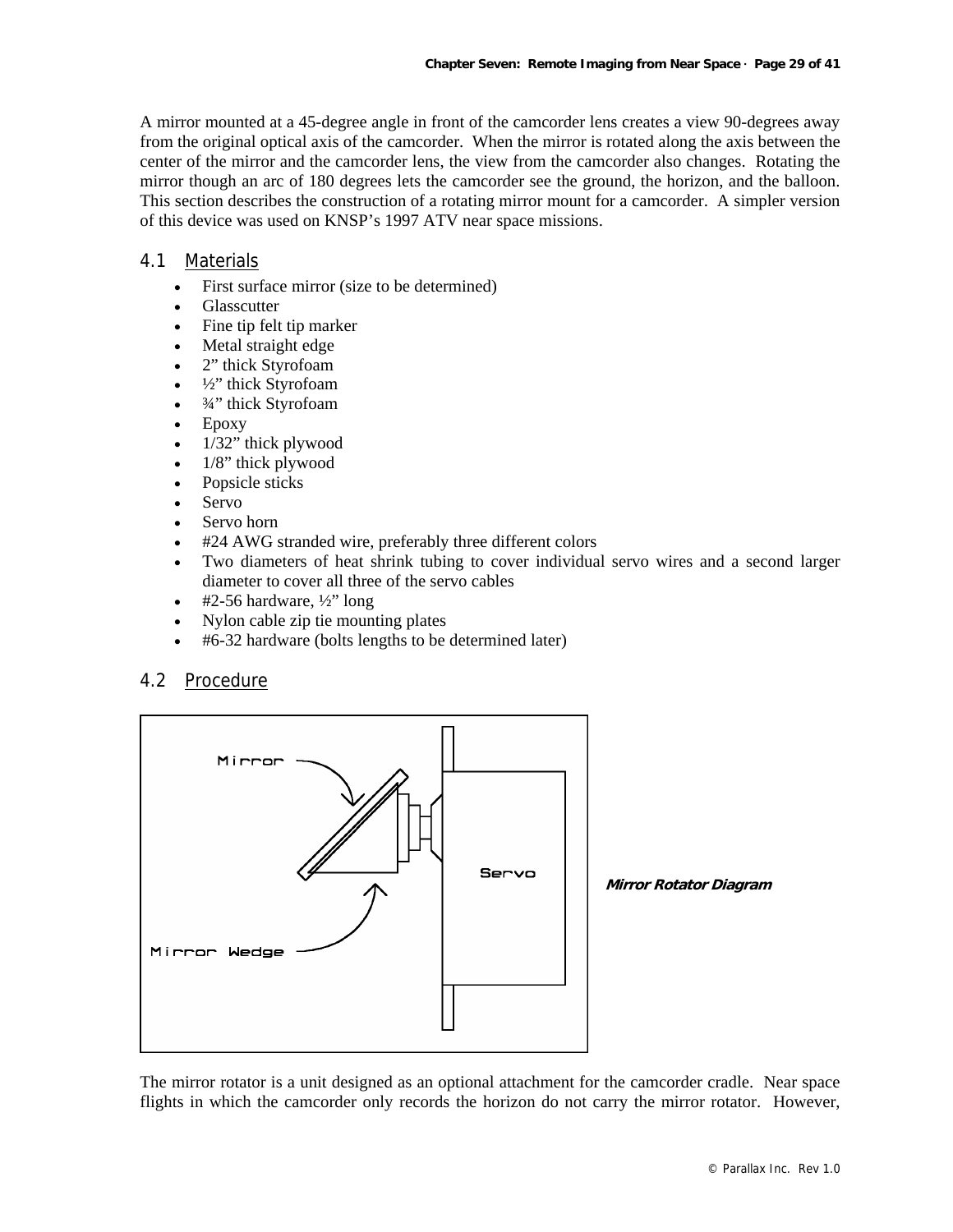A mirror mounted at a 45-degree angle in front of the camcorder lens creates a view 90-degrees away from the original optical axis of the camcorder. When the mirror is rotated along the axis between the center of the mirror and the camcorder lens, the view from the camcorder also changes. Rotating the mirror though an arc of 180 degrees lets the camcorder see the ground, the horizon, and the balloon. This section describes the construction of a rotating mirror mount for a camcorder. A simpler version of this device was used on KNSP's 1997 ATV near space missions.

#### 4.1 Materials

- First surface mirror (size to be determined)
- **Glasscutter**
- Fine tip felt tip marker
- Metal straight edge
- 2" thick Styrofoam
- <sup>1</sup>/<sub>2</sub>" thick Styrofoam
- $\bullet$   $\frac{3}{4}$ " thick Styrofoam
- Epoxy
- 1/32" thick plywood
- 1/8" thick plywood
- Popsicle sticks
- Servo
- Servo horn
- #24 AWG stranded wire, preferably three different colors
- Two diameters of heat shrink tubing to cover individual servo wires and a second larger diameter to cover all three of the servo cables
- #2-56 hardware,  $\frac{1}{2}$ " long
- Nylon cable zip tie mounting plates
- #6-32 hardware (bolts lengths to be determined later)

#### 4.2 Procedure



The mirror rotator is a unit designed as an optional attachment for the camcorder cradle. Near space flights in which the camcorder only records the horizon do not carry the mirror rotator. However,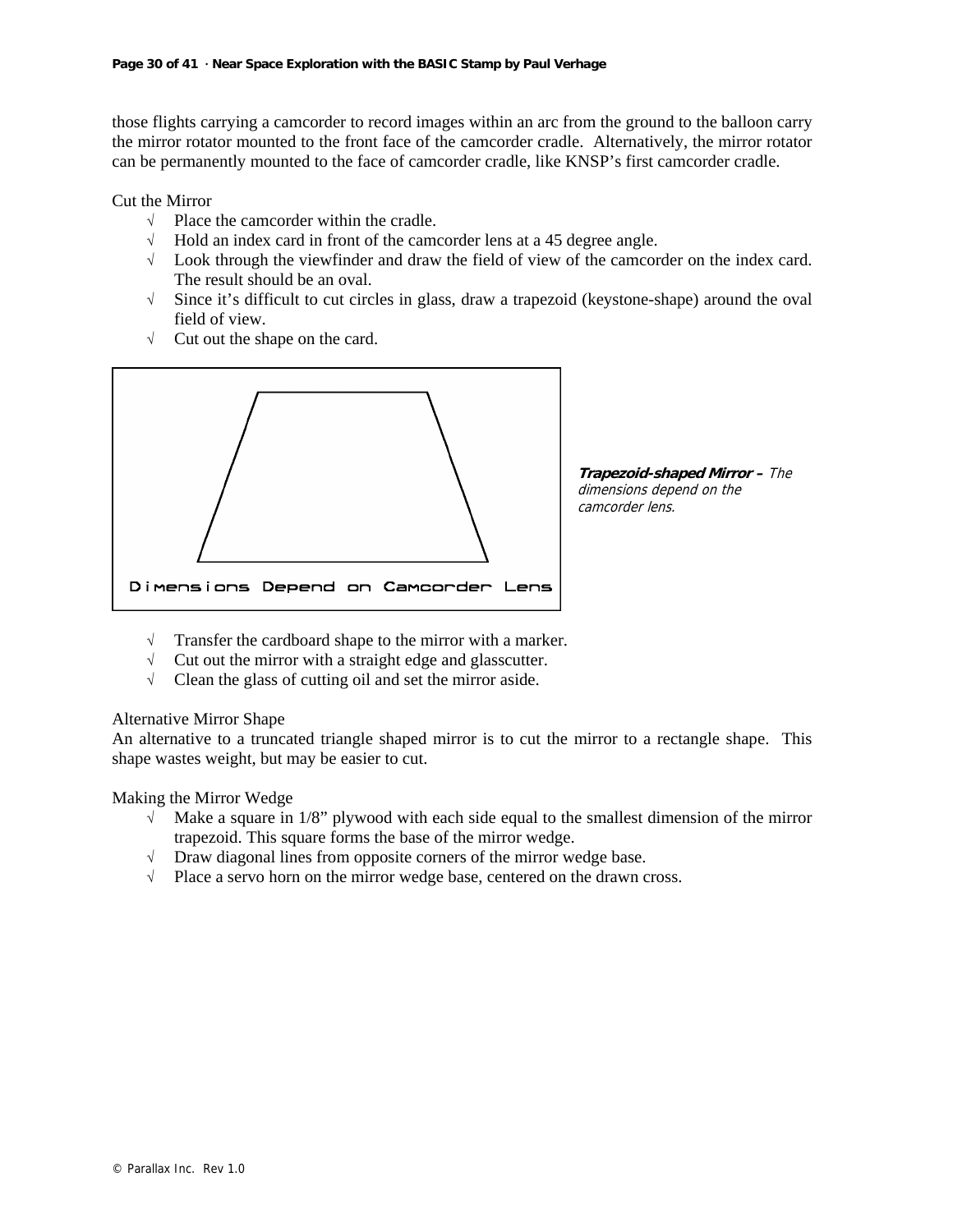those flights carrying a camcorder to record images within an arc from the ground to the balloon carry the mirror rotator mounted to the front face of the camcorder cradle. Alternatively, the mirror rotator can be permanently mounted to the face of camcorder cradle, like KNSP's first camcorder cradle.

Cut the Mirror

- √ Place the camcorder within the cradle.
- √ Hold an index card in front of the camcorder lens at a 45 degree angle.
- √ Look through the viewfinder and draw the field of view of the camcorder on the index card. The result should be an oval.
- √ Since it's difficult to cut circles in glass, draw a trapezoid (keystone-shape) around the oval field of view.
- √ Cut out the shape on the card.



**Trapezoid-shaped Mirror –** The dimensions depend on the camcorder lens.

- √ Transfer the cardboard shape to the mirror with a marker.
- √ Cut out the mirror with a straight edge and glasscutter.
- √ Clean the glass of cutting oil and set the mirror aside.

#### Alternative Mirror Shape

An alternative to a truncated triangle shaped mirror is to cut the mirror to a rectangle shape. This shape wastes weight, but may be easier to cut.

#### Making the Mirror Wedge

- $\sqrt{\phantom{a}}$  Make a square in 1/8" plywood with each side equal to the smallest dimension of the mirror trapezoid. This square forms the base of the mirror wedge.
- √ Draw diagonal lines from opposite corners of the mirror wedge base.
- √ Place a servo horn on the mirror wedge base, centered on the drawn cross.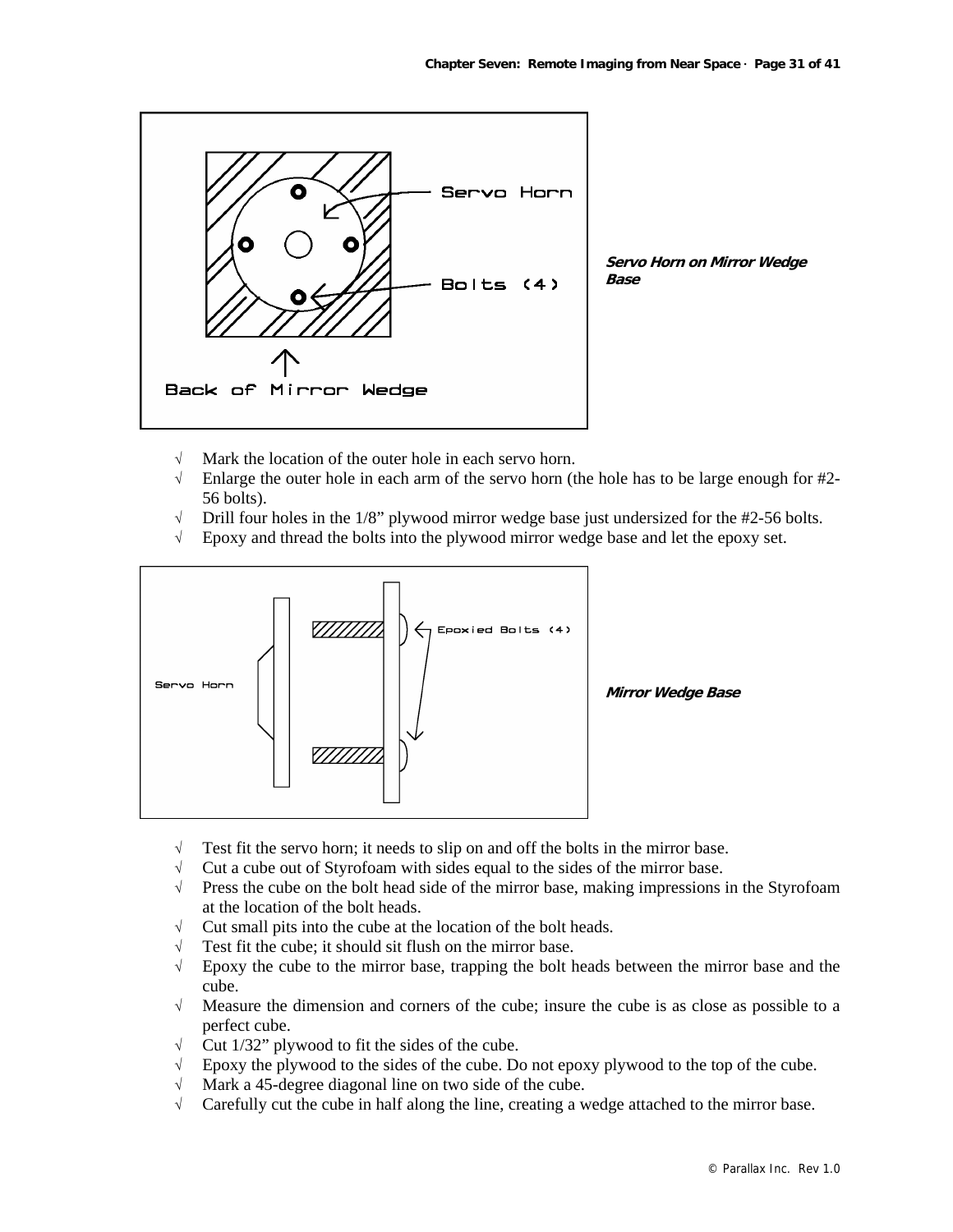

- √ Mark the location of the outer hole in each servo horn.
- √ Enlarge the outer hole in each arm of the servo horn (the hole has to be large enough for #2- 56 bolts).
- Drill four holes in the 1/8" plywood mirror wedge base just undersized for the #2-56 bolts.
- √ Epoxy and thread the bolts into the plywood mirror wedge base and let the epoxy set.



- $\sqrt{\phantom{a}}$  Test fit the servo horn; it needs to slip on and off the bolts in the mirror base.
- √ Cut a cube out of Styrofoam with sides equal to the sides of the mirror base.
- √ Press the cube on the bolt head side of the mirror base, making impressions in the Styrofoam at the location of the bolt heads.
- √ Cut small pits into the cube at the location of the bolt heads.
- $\sqrt{\phantom{a}}$  Test fit the cube; it should sit flush on the mirror base.
- √ Epoxy the cube to the mirror base, trapping the bolt heads between the mirror base and the cube.
- $\sqrt{\phantom{a}}$  Measure the dimension and corners of the cube; insure the cube is as close as possible to a perfect cube.
- $\sqrt{\phantom{a}}$  Cut 1/32" plywood to fit the sides of the cube.
- $\sqrt{\phantom{a}}$  Epoxy the plywood to the sides of the cube. Do not epoxy plywood to the top of the cube.
- √ Mark a 45-degree diagonal line on two side of the cube.
- √ Carefully cut the cube in half along the line, creating a wedge attached to the mirror base.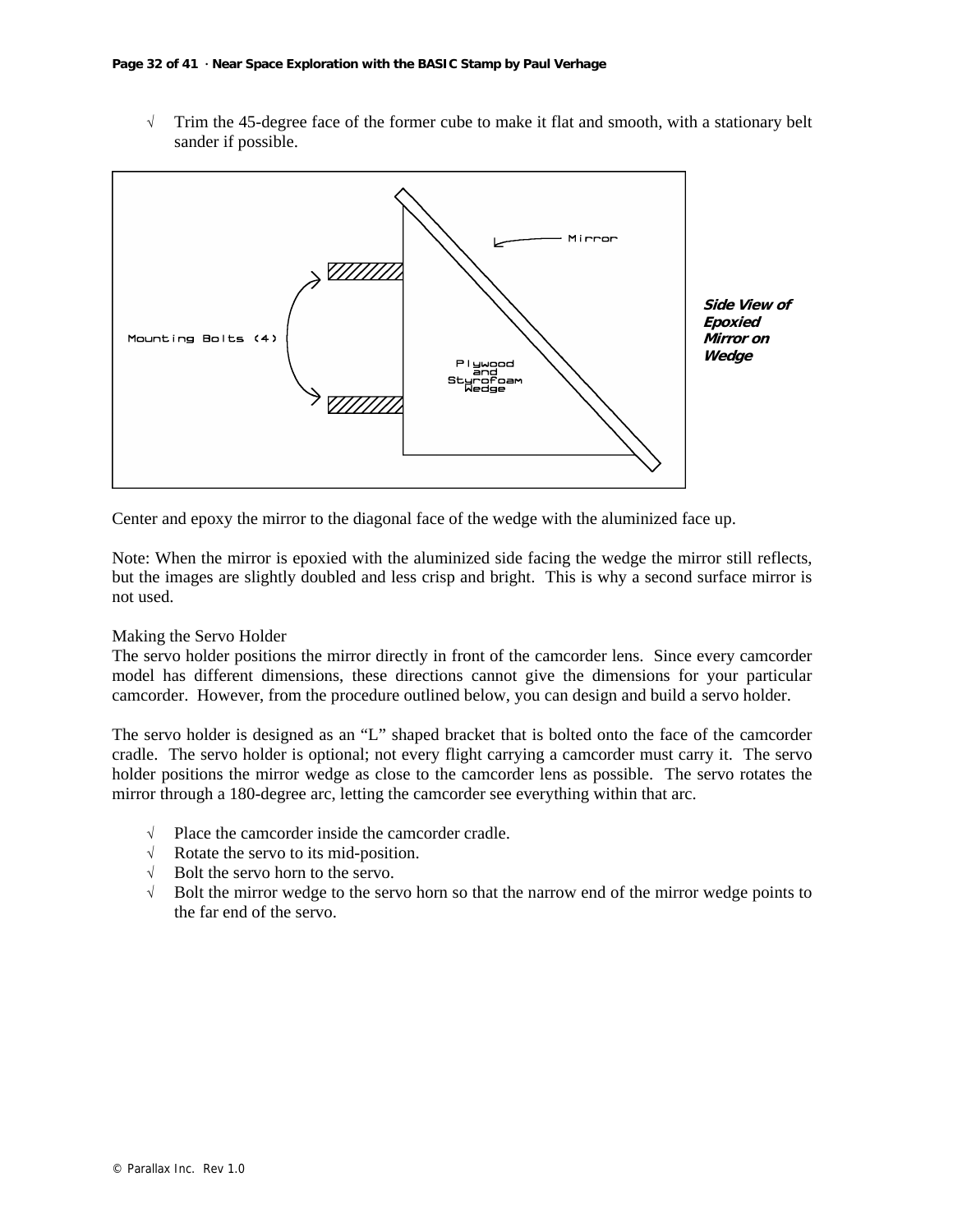√ Trim the 45-degree face of the former cube to make it flat and smooth, with a stationary belt sander if possible.



Center and epoxy the mirror to the diagonal face of the wedge with the aluminized face up.

Note: When the mirror is epoxied with the aluminized side facing the wedge the mirror still reflects, but the images are slightly doubled and less crisp and bright. This is why a second surface mirror is not used.

#### Making the Servo Holder

The servo holder positions the mirror directly in front of the camcorder lens. Since every camcorder model has different dimensions, these directions cannot give the dimensions for your particular camcorder. However, from the procedure outlined below, you can design and build a servo holder.

The servo holder is designed as an "L" shaped bracket that is bolted onto the face of the camcorder cradle. The servo holder is optional; not every flight carrying a camcorder must carry it. The servo holder positions the mirror wedge as close to the camcorder lens as possible. The servo rotates the mirror through a 180-degree arc, letting the camcorder see everything within that arc.

- √ Place the camcorder inside the camcorder cradle.
- √ Rotate the servo to its mid-position.
- √ Bolt the servo horn to the servo.
- $\sqrt{\phantom{a}}$  Bolt the mirror wedge to the servo horn so that the narrow end of the mirror wedge points to the far end of the servo.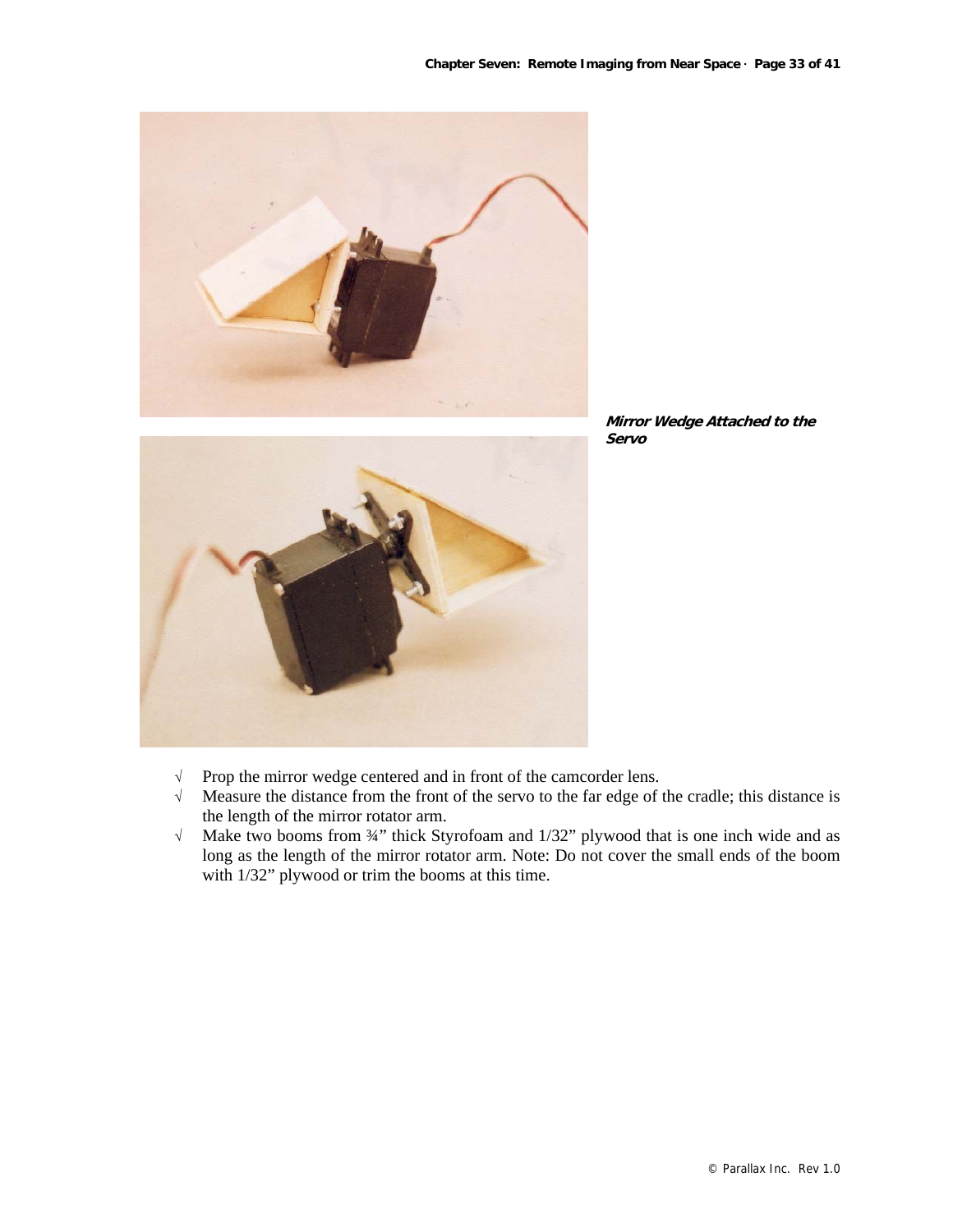



- √ Prop the mirror wedge centered and in front of the camcorder lens.
- √ Measure the distance from the front of the servo to the far edge of the cradle; this distance is the length of the mirror rotator arm.
- √ Make two booms from ¾" thick Styrofoam and 1/32" plywood that is one inch wide and as long as the length of the mirror rotator arm. Note: Do not cover the small ends of the boom with 1/32" plywood or trim the booms at this time.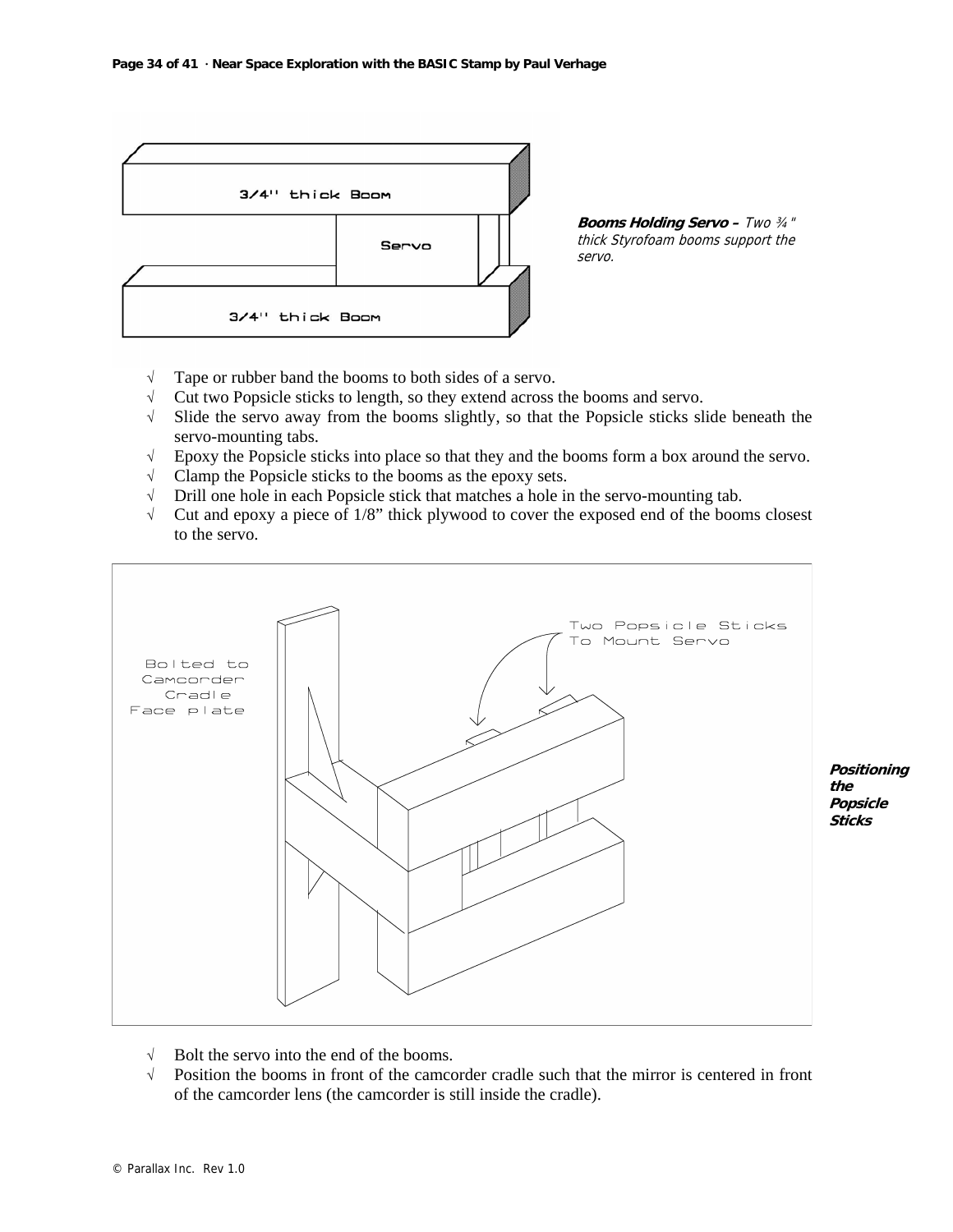

**Booms Holding Servo –** Two ¾" thick Styrofoam booms support the servo.

- √ Tape or rubber band the booms to both sides of a servo.
- √ Cut two Popsicle sticks to length, so they extend across the booms and servo.
- √ Slide the servo away from the booms slightly, so that the Popsicle sticks slide beneath the servo-mounting tabs.
- √ Epoxy the Popsicle sticks into place so that they and the booms form a box around the servo.
- √ Clamp the Popsicle sticks to the booms as the epoxy sets.
- √ Drill one hole in each Popsicle stick that matches a hole in the servo-mounting tab.
- √ Cut and epoxy a piece of 1/8" thick plywood to cover the exposed end of the booms closest to the servo.



 $\sqrt{\phantom{a}}$  Position the booms in front of the camcorder cradle such that the mirror is centered in front

© Parallax Inc. Rev 1.0

 $\sqrt{\phantom{a}}$  Bolt the servo into the end of the booms.

of the camcorder lens (the camcorder is still inside the cradle).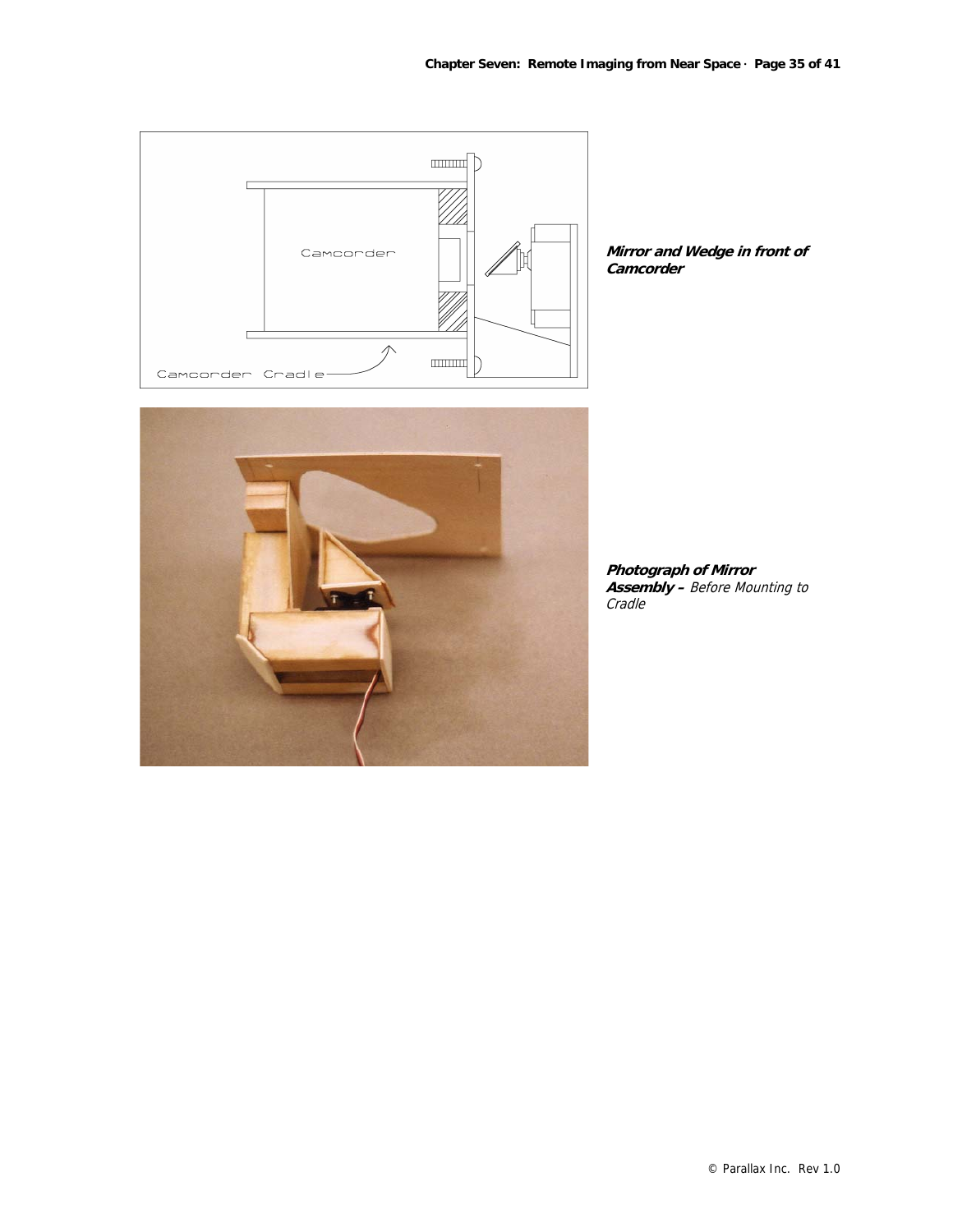

**Mirror and Wedge in front of Camcorder**



**Photograph of Mirror Assembly –** Before Mounting to Cradle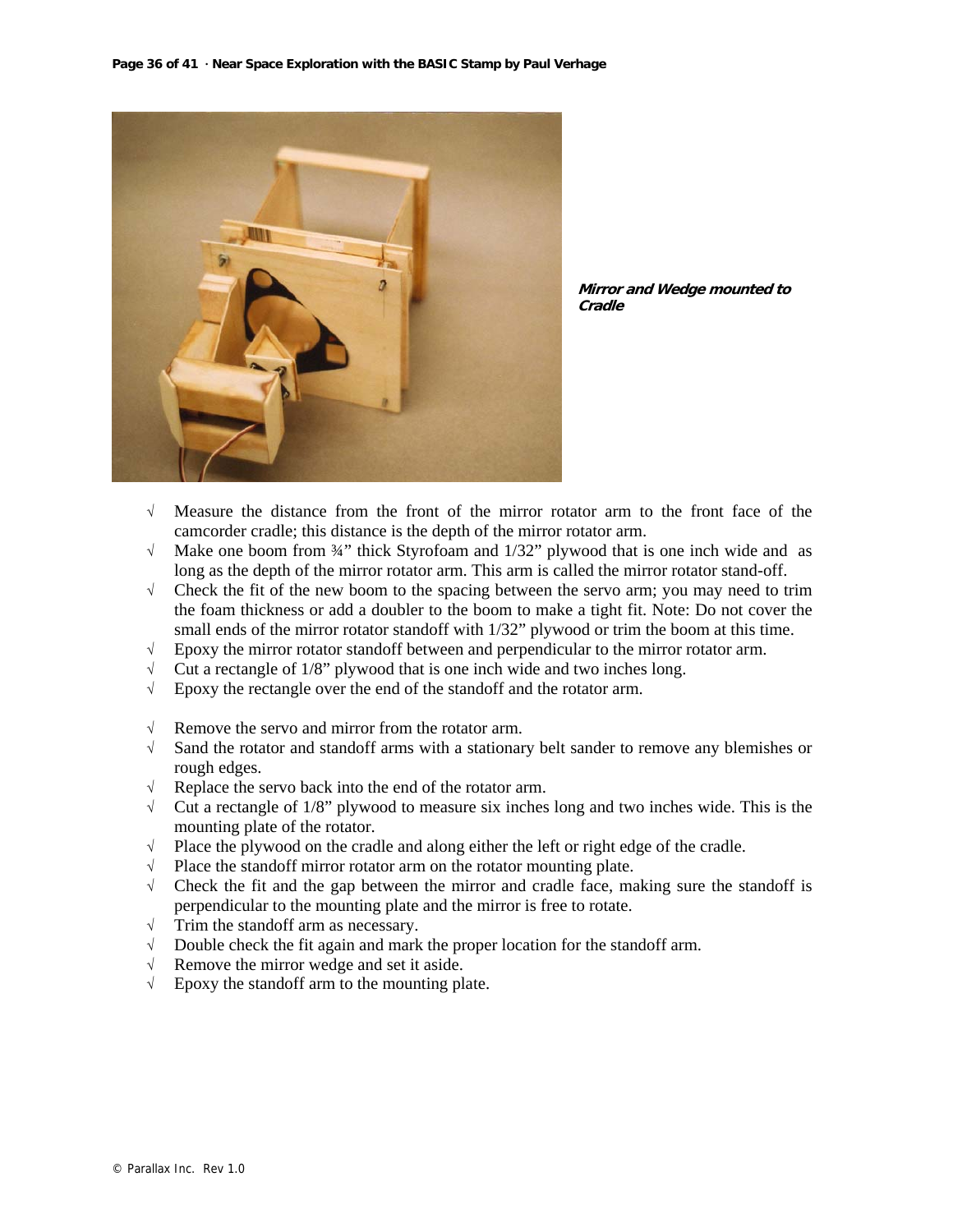

**Mirror and Wedge mounted to Cradle** 

- √ Measure the distance from the front of the mirror rotator arm to the front face of the camcorder cradle; this distance is the depth of the mirror rotator arm.
- √ Make one boom from ¾" thick Styrofoam and 1/32" plywood that is one inch wide and as long as the depth of the mirror rotator arm. This arm is called the mirror rotator stand-off.
- √ Check the fit of the new boom to the spacing between the servo arm; you may need to trim the foam thickness or add a doubler to the boom to make a tight fit. Note: Do not cover the small ends of the mirror rotator standoff with 1/32" plywood or trim the boom at this time.
- √ Epoxy the mirror rotator standoff between and perpendicular to the mirror rotator arm.
- $\sqrt{\phantom{a}}$  Cut a rectangle of 1/8" plywood that is one inch wide and two inches long.
- √ Epoxy the rectangle over the end of the standoff and the rotator arm.
- √ Remove the servo and mirror from the rotator arm.
- √ Sand the rotator and standoff arms with a stationary belt sander to remove any blemishes or rough edges.
- √ Replace the servo back into the end of the rotator arm.
- $\sqrt{\phantom{a}}$  Cut a rectangle of 1/8" plywood to measure six inches long and two inches wide. This is the mounting plate of the rotator.
- √ Place the plywood on the cradle and along either the left or right edge of the cradle.
- $\sqrt{\phantom{a}}$  Place the standoff mirror rotator arm on the rotator mounting plate.
- $\sqrt{\phantom{a}}$  Check the fit and the gap between the mirror and cradle face, making sure the standoff is perpendicular to the mounting plate and the mirror is free to rotate.
- √ Trim the standoff arm as necessary.
- √ Double check the fit again and mark the proper location for the standoff arm.
- √ Remove the mirror wedge and set it aside.
- √ Epoxy the standoff arm to the mounting plate.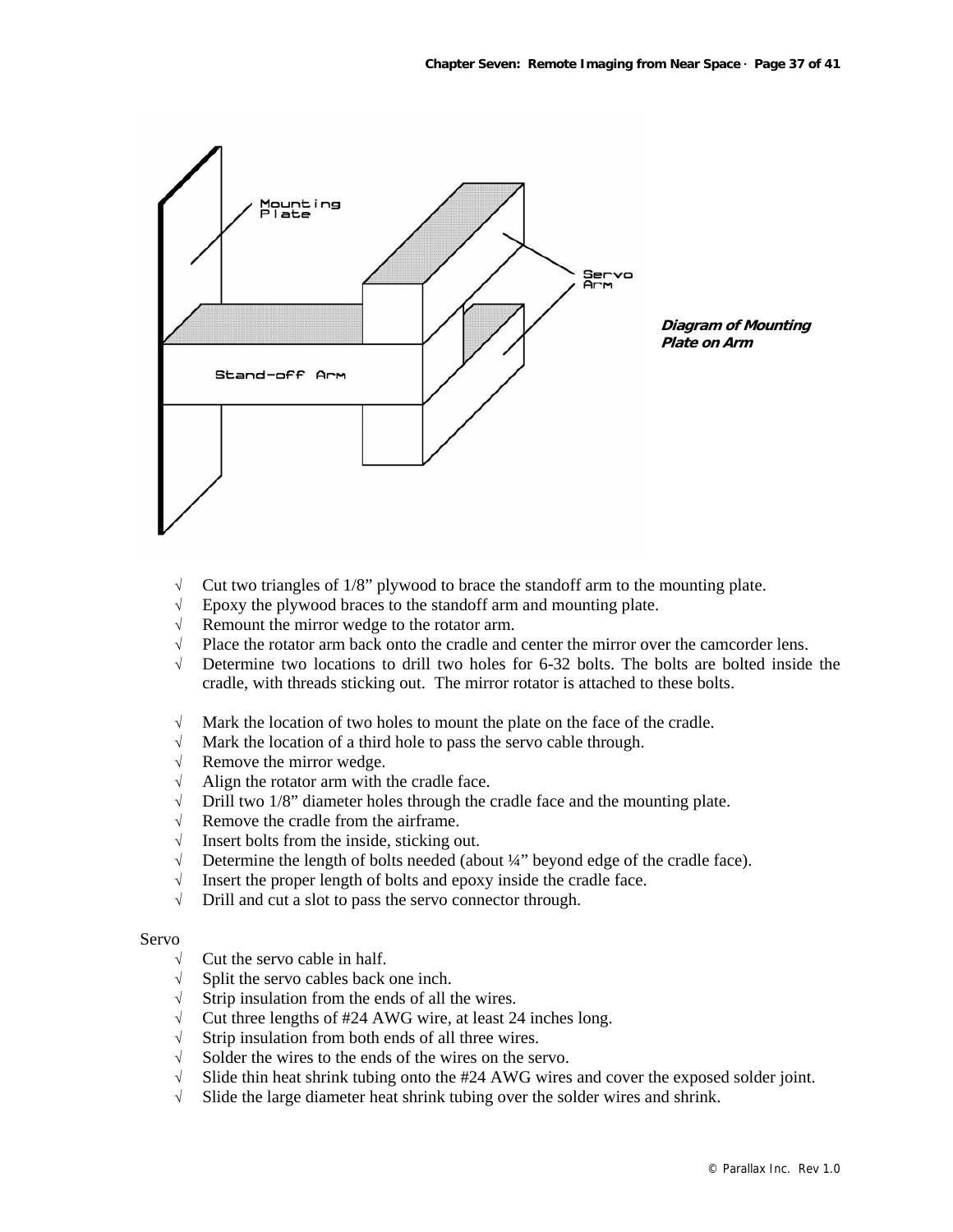

- $\sqrt{\phantom{a}}$  Cut two triangles of 1/8" plywood to brace the standoff arm to the mounting plate.
- $\sqrt{\phantom{a}}$  Epoxy the plywood braces to the standoff arm and mounting plate.
- √ Remount the mirror wedge to the rotator arm.
- $\sqrt{\phantom{a}}$  Place the rotator arm back onto the cradle and center the mirror over the camcorder lens.
- √ Determine two locations to drill two holes for 6-32 bolts. The bolts are bolted inside the cradle, with threads sticking out. The mirror rotator is attached to these bolts.
- $\sqrt{\phantom{a}}$  Mark the location of two holes to mount the plate on the face of the cradle.
- √ Mark the location of a third hole to pass the servo cable through.
- √ Remove the mirror wedge.
- √ Align the rotator arm with the cradle face.
- $\sqrt{\phantom{a}}$  Drill two 1/8" diameter holes through the cradle face and the mounting plate.
- √ Remove the cradle from the airframe.
- √ Insert bolts from the inside, sticking out.
- √ Determine the length of bolts needed (about ¼" beyond edge of the cradle face).
- $\sqrt{\phantom{a}}$  Insert the proper length of bolts and epoxy inside the cradle face.
- √ Drill and cut a slot to pass the servo connector through.

#### Servo

- √ Cut the servo cable in half.
- √ Split the servo cables back one inch.
- $\sqrt{\phantom{a}}$  Strip insulation from the ends of all the wires.
- √ Cut three lengths of #24 AWG wire, at least 24 inches long.
- √ Strip insulation from both ends of all three wires.
- √ Solder the wires to the ends of the wires on the servo.
- √ Slide thin heat shrink tubing onto the #24 AWG wires and cover the exposed solder joint.
- $\sqrt{\phantom{a}}$  Slide the large diameter heat shrink tubing over the solder wires and shrink.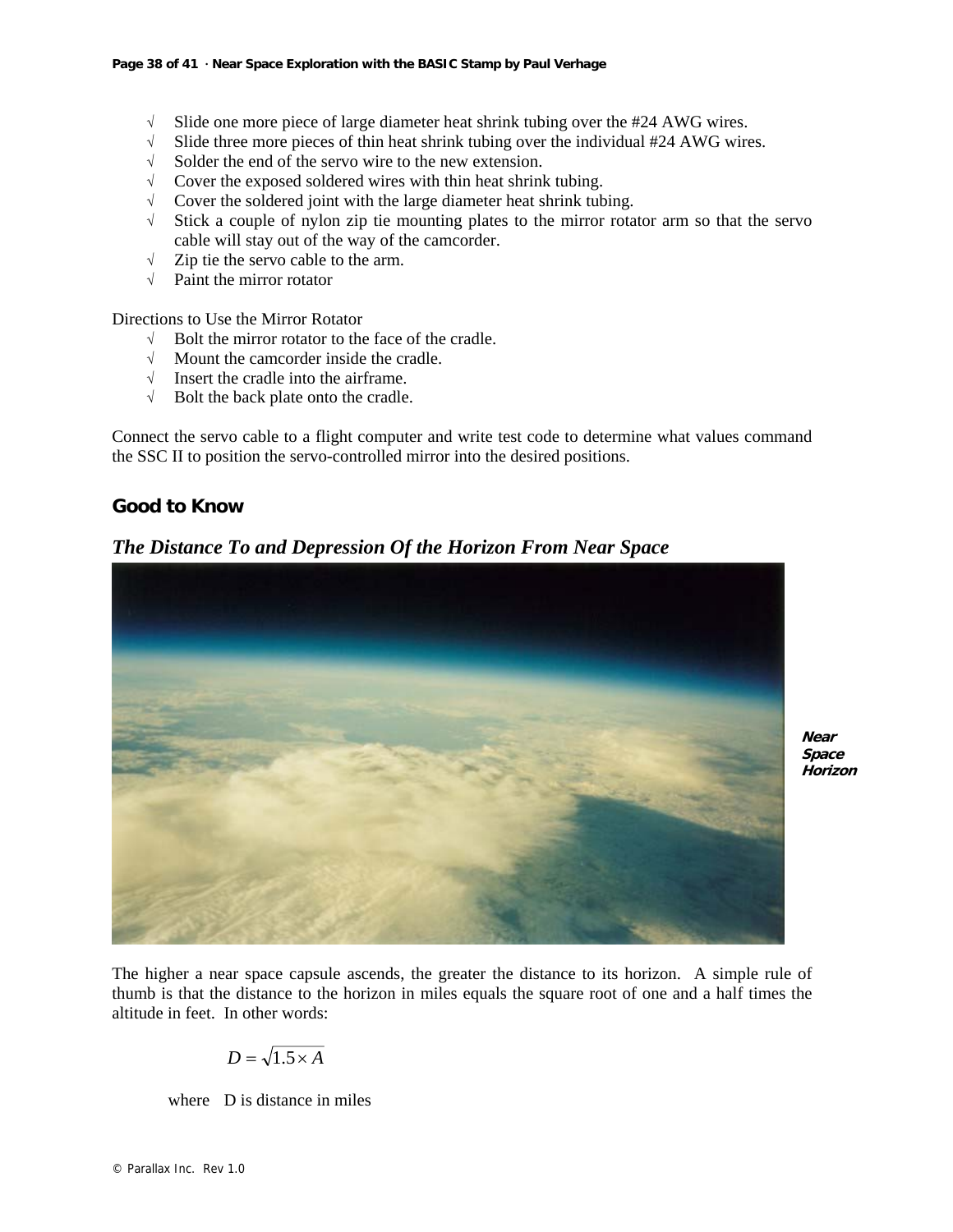- $\sqrt{\phantom{a}}$  Slide one more piece of large diameter heat shrink tubing over the #24 AWG wires.
- √ Slide three more pieces of thin heat shrink tubing over the individual #24 AWG wires.
- $\sqrt{\phantom{a}}$  Solder the end of the servo wire to the new extension.<br>  $\sqrt{\phantom{a}}$  Cover the exposed soldered wires with thin heat shrink
- Cover the exposed soldered wires with thin heat shrink tubing.
- √ Cover the soldered joint with the large diameter heat shrink tubing.
- √ Stick a couple of nylon zip tie mounting plates to the mirror rotator arm so that the servo cable will stay out of the way of the camcorder.
- $\sqrt{\phantom{a}}$  Zip tie the servo cable to the arm.
- √ Paint the mirror rotator

Directions to Use the Mirror Rotator

- √ Bolt the mirror rotator to the face of the cradle.
- √ Mount the camcorder inside the cradle.
- √ Insert the cradle into the airframe.
- √ Bolt the back plate onto the cradle.

Connect the servo cable to a flight computer and write test code to determine what values command the SSC II to position the servo-controlled mirror into the desired positions.

# **Good to Know**



# *The Distance To and Depression Of the Horizon From Near Space*

**Near Space Horizon**

The higher a near space capsule ascends, the greater the distance to its horizon. A simple rule of thumb is that the distance to the horizon in miles equals the square root of one and a half times the altitude in feet. In other words:

$$
D = \sqrt{1.5 \times A}
$$

where D is distance in miles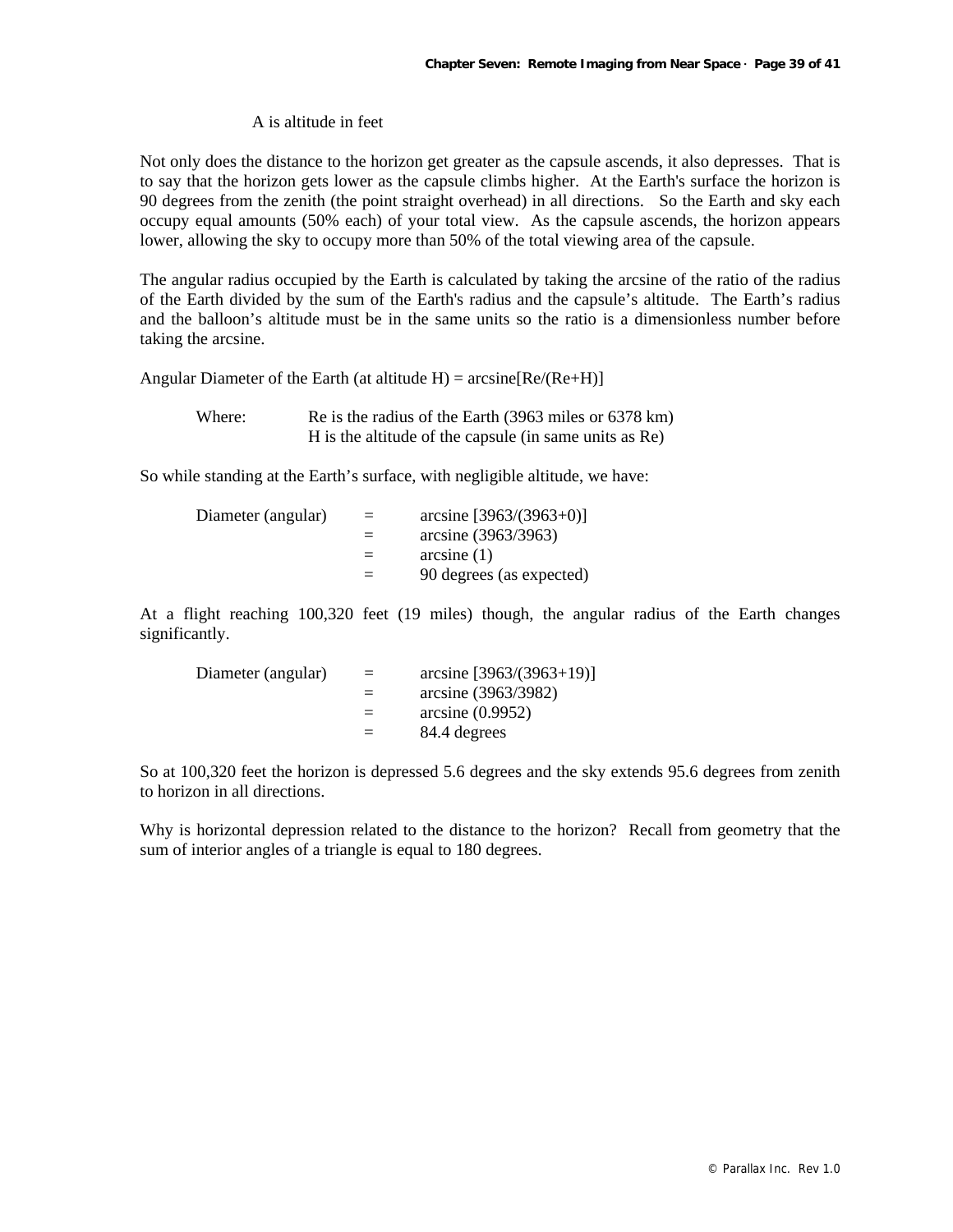#### A is altitude in feet

Not only does the distance to the horizon get greater as the capsule ascends, it also depresses. That is to say that the horizon gets lower as the capsule climbs higher. At the Earth's surface the horizon is 90 degrees from the zenith (the point straight overhead) in all directions. So the Earth and sky each occupy equal amounts (50% each) of your total view. As the capsule ascends, the horizon appears lower, allowing the sky to occupy more than 50% of the total viewing area of the capsule.

The angular radius occupied by the Earth is calculated by taking the arcsine of the ratio of the radius of the Earth divided by the sum of the Earth's radius and the capsule's altitude. The Earth's radius and the balloon's altitude must be in the same units so the ratio is a dimensionless number before taking the arcsine.

Angular Diameter of the Earth (at altitude  $H$ ) = arcsine[Re/(Re+H)]

Where: Re is the radius of the Earth (3963 miles or 6378 km) H is the altitude of the capsule (in same units as Re)

So while standing at the Earth's surface, with negligible altitude, we have:

| Diameter (angular) | $=$ | arcsine $[3963/(3963+0)]$ |
|--------------------|-----|---------------------------|
|                    |     | arcsine (3963/3963)       |
|                    |     | arcsine(1)                |
|                    | $=$ | 90 degrees (as expected)  |

At a flight reaching 100,320 feet (19 miles) though, the angular radius of the Earth changes significantly.

| Diameter (angular) | $=$ | $arcsine [3963/(3963+19)]$ |
|--------------------|-----|----------------------------|
|                    |     | arcsine (3963/3982)        |
|                    | $=$ | arcsine(0.9952)            |
|                    | $=$ | 84.4 degrees               |

So at 100,320 feet the horizon is depressed 5.6 degrees and the sky extends 95.6 degrees from zenith to horizon in all directions.

Why is horizontal depression related to the distance to the horizon? Recall from geometry that the sum of interior angles of a triangle is equal to 180 degrees.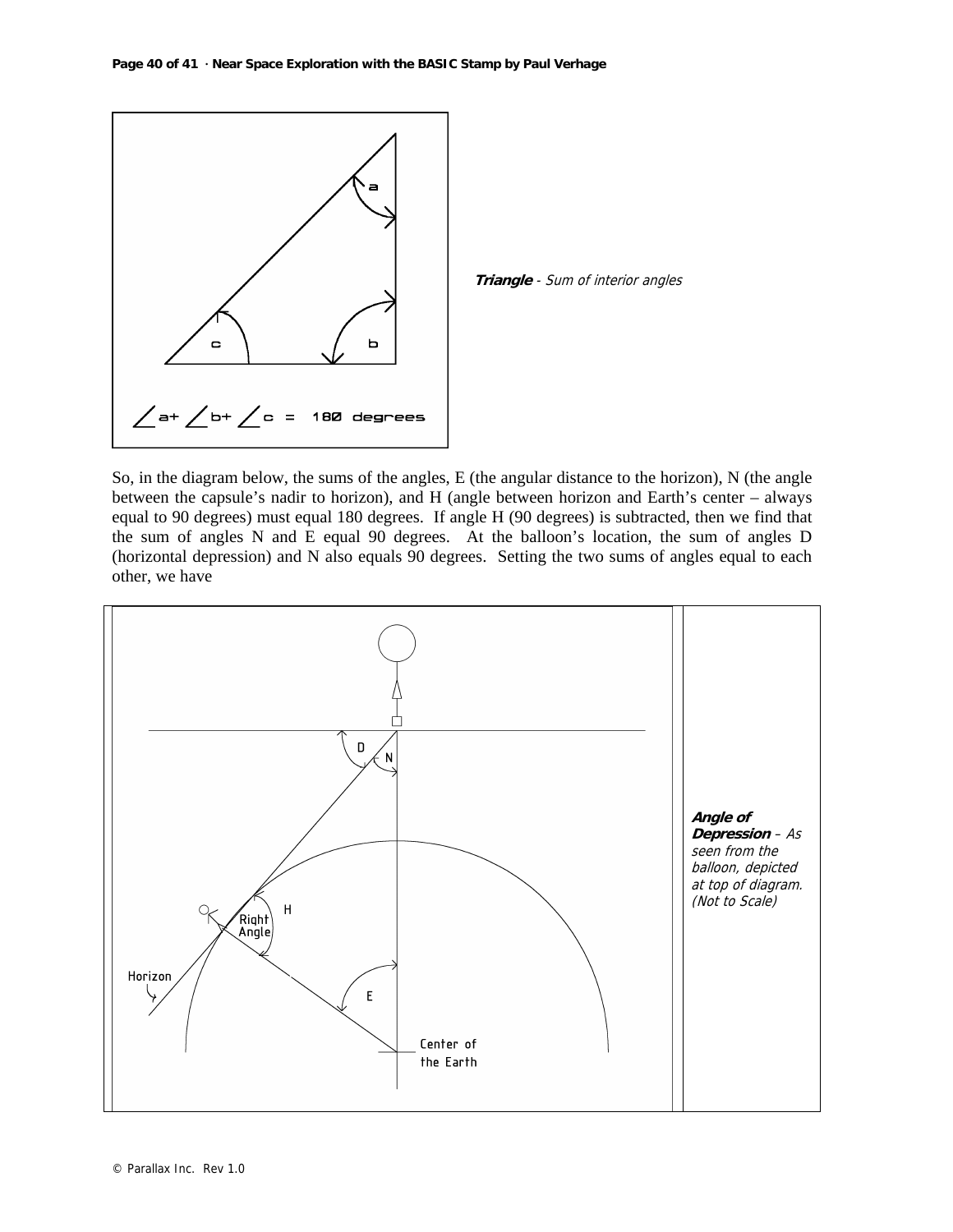

**Triangle** - Sum of interior angles

So, in the diagram below, the sums of the angles, E (the angular distance to the horizon), N (the angle between the capsule's nadir to horizon), and H (angle between horizon and Earth's center – always equal to 90 degrees) must equal 180 degrees. If angle H (90 degrees) is subtracted, then we find that the sum of angles N and E equal 90 degrees. At the balloon's location, the sum of angles D (horizontal depression) and N also equals 90 degrees. Setting the two sums of angles equal to each other, we have